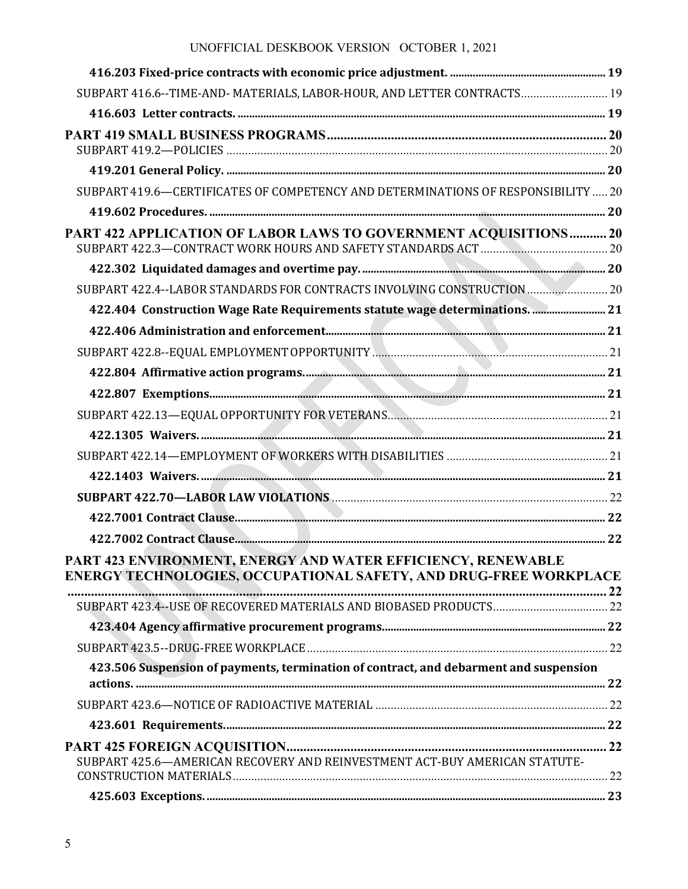| SUBPART 416.6--TIME-AND- MATERIALS, LABOR-HOUR, AND LETTER CONTRACTS 19                                                           |  |
|-----------------------------------------------------------------------------------------------------------------------------------|--|
|                                                                                                                                   |  |
|                                                                                                                                   |  |
|                                                                                                                                   |  |
| SUBPART 419.6–CERTIFICATES OF COMPETENCY AND DETERMINATIONS OF RESPONSIBILITY  20                                                 |  |
|                                                                                                                                   |  |
| <b>PART 422 APPLICATION OF LABOR LAWS TO GOVERNMENT ACQUISITIONS 20</b>                                                           |  |
|                                                                                                                                   |  |
| SUBPART 422.4--LABOR STANDARDS FOR CONTRACTS INVOLVING CONSTRUCTION  20                                                           |  |
| 422.404 Construction Wage Rate Requirements statute wage determinations.  21                                                      |  |
|                                                                                                                                   |  |
|                                                                                                                                   |  |
|                                                                                                                                   |  |
|                                                                                                                                   |  |
|                                                                                                                                   |  |
|                                                                                                                                   |  |
|                                                                                                                                   |  |
|                                                                                                                                   |  |
|                                                                                                                                   |  |
|                                                                                                                                   |  |
|                                                                                                                                   |  |
| PART 423 ENVIRONMENT, ENERGY AND WATER EFFICIENCY, RENEWABLE<br>ENERGY TECHNOLOGIES, OCCUPATIONAL SAFETY, AND DRUG-FREE WORKPLACE |  |
|                                                                                                                                   |  |
|                                                                                                                                   |  |
|                                                                                                                                   |  |
| 423.506 Suspension of payments, termination of contract, and debarment and suspension                                             |  |
|                                                                                                                                   |  |
|                                                                                                                                   |  |
|                                                                                                                                   |  |
| SUBPART 425.6-AMERICAN RECOVERY AND REINVESTMENT ACT-BUY AMERICAN STATUTE-                                                        |  |
|                                                                                                                                   |  |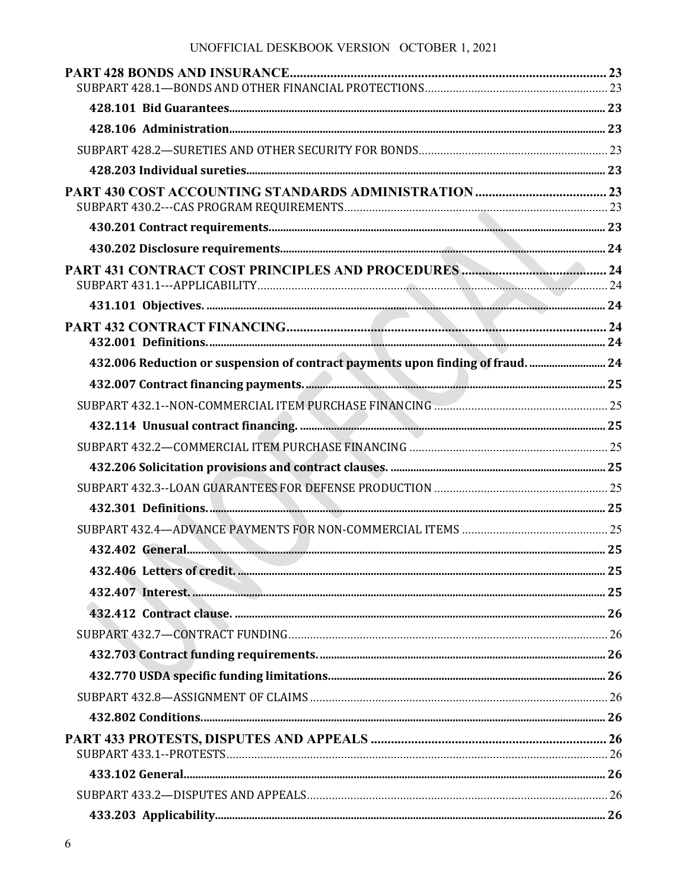| 432.006 Reduction or suspension of contract payments upon finding of fraud. |  |
|-----------------------------------------------------------------------------|--|
|                                                                             |  |
|                                                                             |  |
|                                                                             |  |
|                                                                             |  |
|                                                                             |  |
|                                                                             |  |
|                                                                             |  |
|                                                                             |  |
|                                                                             |  |
|                                                                             |  |
|                                                                             |  |
|                                                                             |  |
|                                                                             |  |
|                                                                             |  |
|                                                                             |  |
|                                                                             |  |
|                                                                             |  |
|                                                                             |  |
|                                                                             |  |
|                                                                             |  |
|                                                                             |  |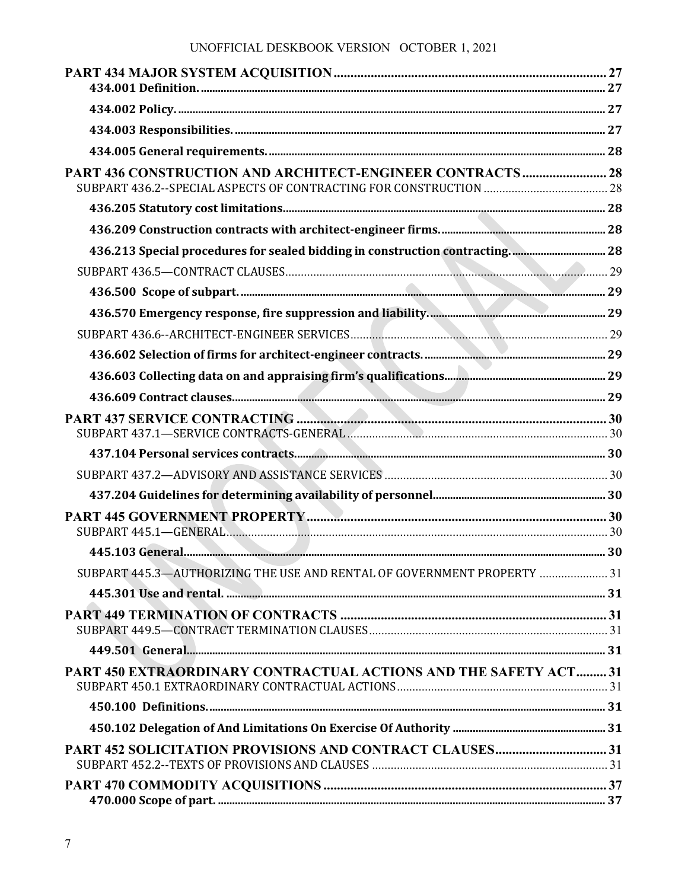| PART 436 CONSTRUCTION AND ARCHITECT-ENGINEER CONTRACTS  28              |  |
|-------------------------------------------------------------------------|--|
|                                                                         |  |
|                                                                         |  |
|                                                                         |  |
|                                                                         |  |
|                                                                         |  |
|                                                                         |  |
|                                                                         |  |
|                                                                         |  |
|                                                                         |  |
|                                                                         |  |
|                                                                         |  |
|                                                                         |  |
|                                                                         |  |
|                                                                         |  |
|                                                                         |  |
|                                                                         |  |
| SUBPART 445.3-AUTHORIZING THE USE AND RENTAL OF GOVERNMENT PROPERTY  31 |  |
|                                                                         |  |
|                                                                         |  |
|                                                                         |  |
| PART 450 EXTRAORDINARY CONTRACTUAL ACTIONS AND THE SAFETY ACT31         |  |
|                                                                         |  |
|                                                                         |  |
|                                                                         |  |
|                                                                         |  |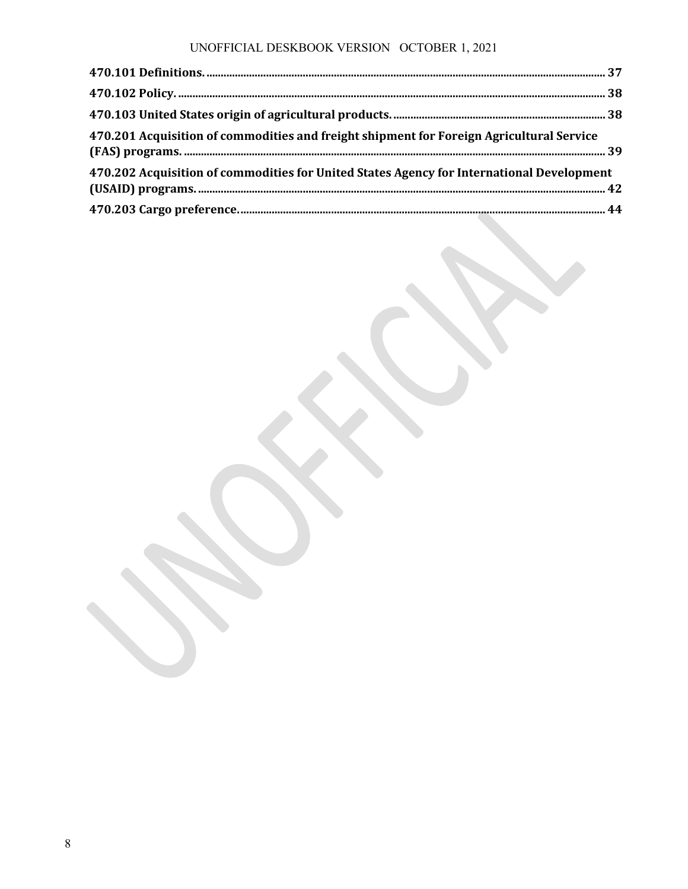| 470.201 Acquisition of commodities and freight shipment for Foreign Agricultural Service  |  |
|-------------------------------------------------------------------------------------------|--|
| 470.202 Acquisition of commodities for United States Agency for International Development |  |
|                                                                                           |  |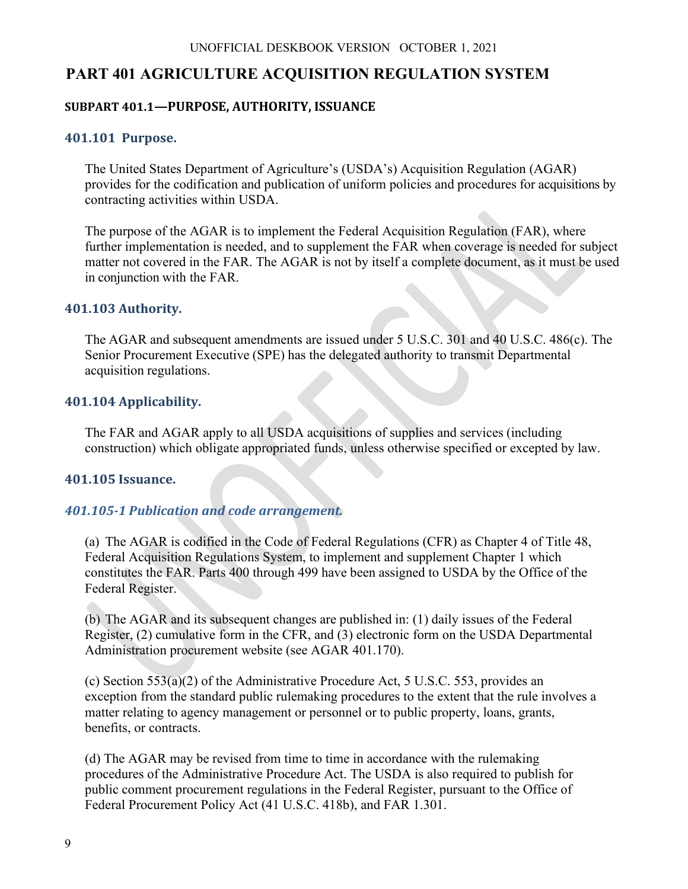## **PART 401 AGRICULTURE ACQUISITION REGULATION SYSTEM**

## **SUBPART 401.1—PURPOSE, AUTHORITY, ISSUANCE**

## **401.101 Purpose.**

The United States Department of Agriculture's (USDA's) Acquisition Regulation (AGAR) provides for the codification and publication of uniform policies and procedures for acquisitions by contracting activities within USDA.

The purpose of the AGAR is to implement the Federal Acquisition Regulation (FAR), where further implementation is needed, and to supplement the FAR when coverage is needed for subject matter not covered in the FAR. The AGAR is not by itself a complete document, as it must be used in conjunction with the FAR.

## **401.103 Authority.**

The AGAR and subsequent amendments are issued under 5 U.S.C. 301 and 40 U.S.C. 486(c). The Senior Procurement Executive (SPE) has the delegated authority to transmit Departmental acquisition regulations.

### **401.104 Applicability.**

The FAR and AGAR apply to all USDA acquisitions of supplies and services (including construction) which obligate appropriated funds, unless otherwise specified or excepted by law.

#### **401.105 Issuance.**

## *401.105-1 Publication and code arrangement.*

(a) The AGAR is codified in the Code of Federal Regulations (CFR) as Chapter 4 of Title 48, Federal Acquisition Regulations System, to implement and supplement Chapter 1 which constitutes the FAR. Parts 400 through 499 have been assigned to USDA by the Office of the Federal Register.

(b) The AGAR and its subsequent changes are published in: (1) daily issues of the Federal Register, (2) cumulative form in the CFR, and (3) electronic form on the USDA Departmental Administration procurement website (see AGAR 401.170).

(c) Section 553(a)(2) of the Administrative Procedure Act, 5 U.S.C. 553, provides an exception from the standard public rulemaking procedures to the extent that the rule involves a matter relating to agency management or personnel or to public property, loans, grants, benefits, or contracts.

(d) The AGAR may be revised from time to time in accordance with the rulemaking procedures of the Administrative Procedure Act. The USDA is also required to publish for public comment procurement regulations in the Federal Register, pursuant to the Office of Federal Procurement Policy Act (41 U.S.C. 418b), and FAR 1.301.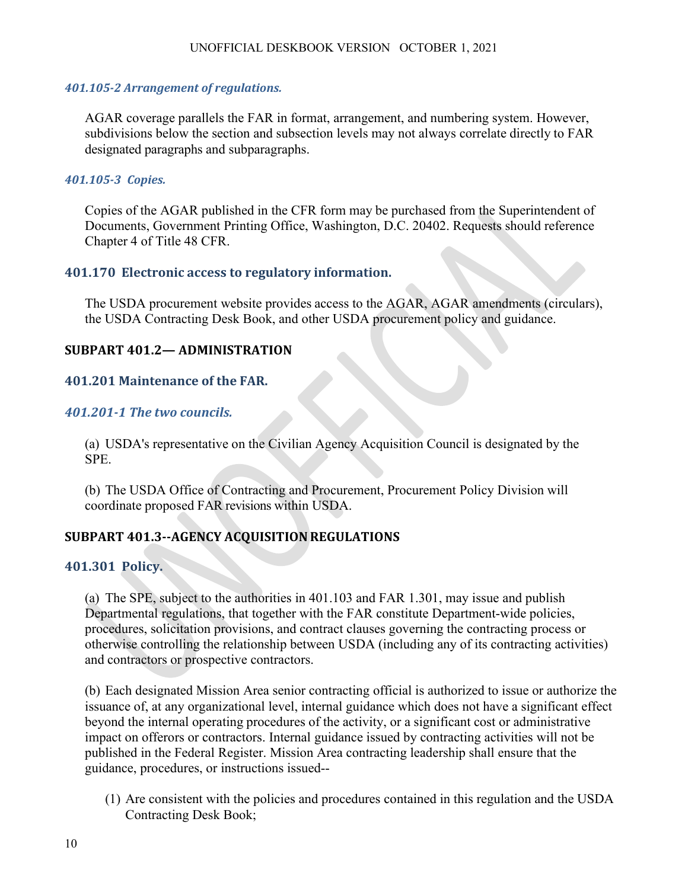#### *401.105-2 Arrangement of regulations.*

AGAR coverage parallels the FAR in format, arrangement, and numbering system. However, subdivisions below the section and subsection levels may not always correlate directly to FAR designated paragraphs and subparagraphs.

### *401.105-3 Copies.*

Copies of the AGAR published in the CFR form may be purchased from the Superintendent of Documents, Government Printing Office, Washington, D.C. 20402. Requests should reference Chapter 4 of Title 48 CFR.

## **401.170 Electronic access to regulatory information.**

The USDA procurement website provides access to the AGAR, AGAR amendments (circulars), the USDA Contracting Desk Book, and other USDA procurement policy and guidance.

## **SUBPART 401.2— ADMINISTRATION**

### **401.201 Maintenance of the FAR.**

### *401.201-1 The two councils.*

(a) USDA's representative on the Civilian Agency Acquisition Council is designated by the SPE.

(b) The USDA Office of Contracting and Procurement, Procurement Policy Division will coordinate proposed FAR revisions within USDA.

## **SUBPART 401.3--AGENCY ACQUISITION REGULATIONS**

## **401.301 Policy.**

(a) The SPE, subject to the authorities in 401.103 and FAR 1.301, may issue and publish Departmental regulations, that together with the FAR constitute Department-wide policies, procedures, solicitation provisions, and contract clauses governing the contracting process or otherwise controlling the relationship between USDA (including any of its contracting activities) and contractors or prospective contractors.

(b) Each designated Mission Area senior contracting official is authorized to issue or authorize the issuance of, at any organizational level, internal guidance which does not have a significant effect beyond the internal operating procedures of the activity, or a significant cost or administrative impact on offerors or contractors. Internal guidance issued by contracting activities will not be published in the Federal Register. Mission Area contracting leadership shall ensure that the guidance, procedures, or instructions issued--

(1) Are consistent with the policies and procedures contained in this regulation and the USDA Contracting Desk Book;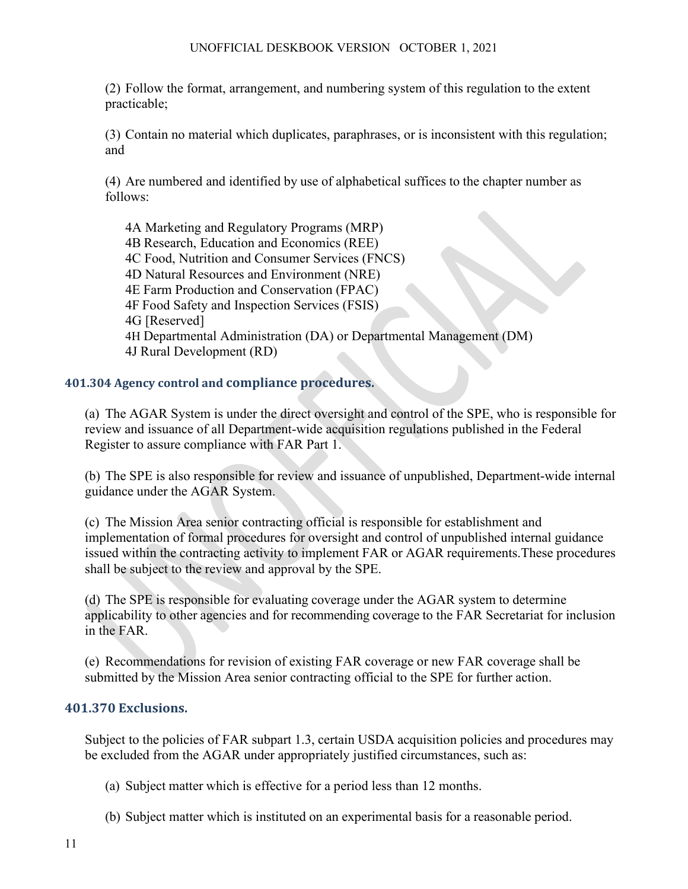(2) Follow the format, arrangement, and numbering system of this regulation to the extent practicable;

(3) Contain no material which duplicates, paraphrases, or is inconsistent with this regulation; and

(4) Are numbered and identified by use of alphabetical suffices to the chapter number as follows:

4A Marketing and Regulatory Programs (MRP) 4B Research, Education and Economics (REE) 4C Food, Nutrition and Consumer Services (FNCS) 4D Natural Resources and Environment (NRE) 4E Farm Production and Conservation (FPAC) 4F Food Safety and Inspection Services (FSIS) 4G [Reserved] 4H Departmental Administration (DA) or Departmental Management (DM) 4J Rural Development (RD)

## **401.304 Agency control and compliance procedures.**

(a) The AGAR System is under the direct oversight and control of the SPE, who is responsible for review and issuance of all Department-wide acquisition regulations published in the Federal Register to assure compliance with FAR Part 1.

(b) The SPE is also responsible for review and issuance of unpublished, Department-wide internal guidance under the AGAR System.

(c) The Mission Area senior contracting official is responsible for establishment and implementation of formal procedures for oversight and control of unpublished internal guidance issued within the contracting activity to implement FAR or AGAR requirements. These procedures shall be subject to the review and approval by the SPE.

(d) The SPE is responsible for evaluating coverage under the AGAR system to determine applicability to other agencies and for recommending coverage to the FAR Secretariat for inclusion in the FAR.

(e) Recommendations for revision of existing FAR coverage or new FAR coverage shall be submitted by the Mission Area senior contracting official to the SPE for further action.

## **401.370 Exclusions.**

Subject to the policies of FAR subpart 1.3, certain USDA acquisition policies and procedures may be excluded from the AGAR under appropriately justified circumstances, such as:

- (a) Subject matter which is effective for a period less than 12 months.
- (b) Subject matter which is instituted on an experimental basis for a reasonable period.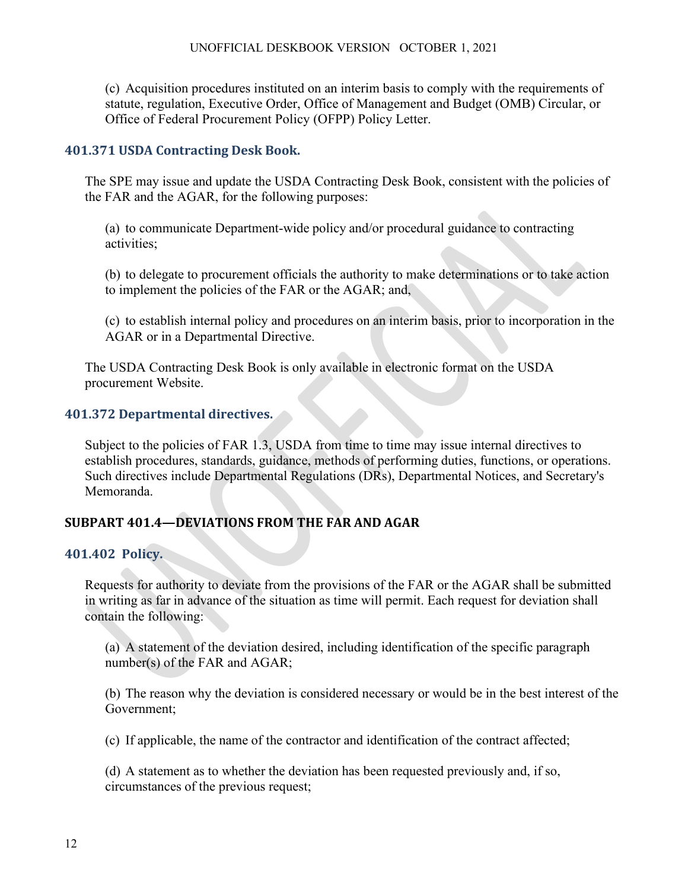(c) Acquisition procedures instituted on an interim basis to comply with the requirements of statute, regulation, Executive Order, Office of Management and Budget (OMB) Circular, or Office of Federal Procurement Policy (OFPP) Policy Letter.

## **401.371 USDA Contracting Desk Book.**

The SPE may issue and update the USDA Contracting Desk Book, consistent with the policies of the FAR and the AGAR, for the following purposes:

(a) to communicate Department-wide policy and/or procedural guidance to contracting activities;

(b) to delegate to procurement officials the authority to make determinations or to take action to implement the policies of the FAR or the AGAR; and,

(c) to establish internal policy and procedures on an interim basis, prior to incorporation in the AGAR or in a Departmental Directive.

The USDA Contracting Desk Book is only available in electronic format on the USDA procurement Website.

## **401.372 Departmental directives.**

Subject to the policies of FAR 1.3, USDA from time to time may issue internal directives to establish procedures, standards, guidance, methods of performing duties, functions, or operations. Such directives include Departmental Regulations (DRs), Departmental Notices, and Secretary's Memoranda.

## **SUBPART 401.4—DEVIATIONS FROM THE FAR AND AGAR**

## **401.402 Policy.**

Requests for authority to deviate from the provisions of the FAR or the AGAR shall be submitted in writing as far in advance of the situation as time will permit. Each request for deviation shall contain the following:

(a) A statement of the deviation desired, including identification of the specific paragraph number(s) of the FAR and AGAR;

(b) The reason why the deviation is considered necessary or would be in the best interest of the Government;

(c) If applicable, the name of the contractor and identification of the contract affected;

(d) A statement as to whether the deviation has been requested previously and, if so, circumstances of the previous request;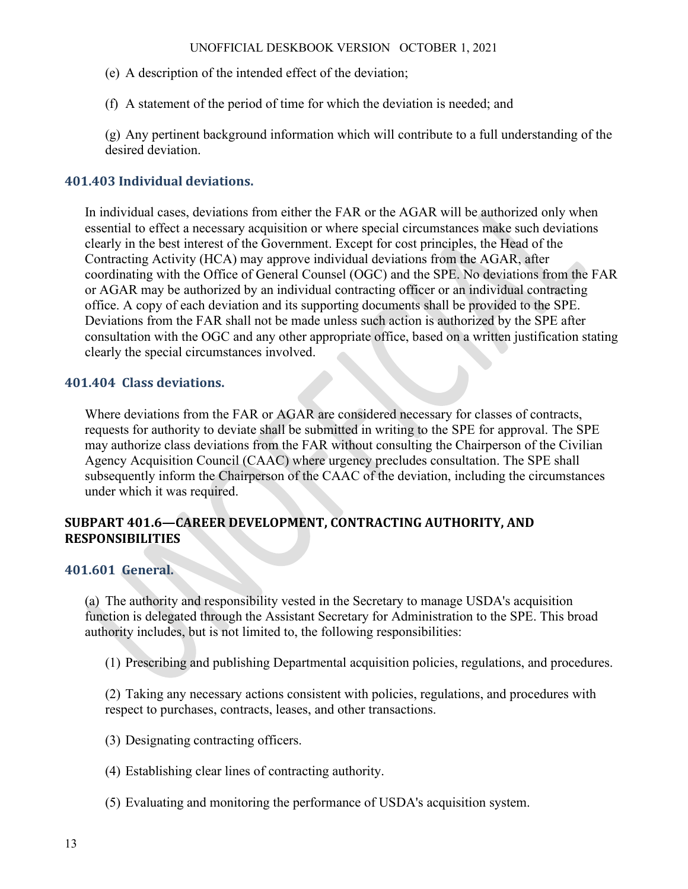- (e) A description of the intended effect of the deviation;
- (f) A statement of the period of time for which the deviation is needed; and

(g) Any pertinent background information which will contribute to a full understanding of the desired deviation.

## **401.403 Individual deviations.**

In individual cases, deviations from either the FAR or the AGAR will be authorized only when essential to effect a necessary acquisition or where special circumstances make such deviations clearly in the best interest of the Government. Except for cost principles, the Head of the Contracting Activity (HCA) may approve individual deviations from the AGAR, after coordinating with the Office of General Counsel (OGC) and the SPE. No deviations from the FAR or AGAR may be authorized by an individual contracting officer or an individual contracting office. A copy of each deviation and its supporting documents shall be provided to the SPE. Deviations from the FAR shall not be made unless such action is authorized by the SPE after consultation with the OGC and any other appropriate office, based on a written justification stating clearly the special circumstances involved.

## **401.404 Class deviations.**

Where deviations from the FAR or AGAR are considered necessary for classes of contracts, requests for authority to deviate shall be submitted in writing to the SPE for approval. The SPE may authorize class deviations from the FAR without consulting the Chairperson of the Civilian Agency Acquisition Council (CAAC) where urgency precludes consultation. The SPE shall subsequently inform the Chairperson of the CAAC of the deviation, including the circumstances under which it was required.

## **SUBPART 401.6—CAREER DEVELOPMENT, CONTRACTING AUTHORITY, AND RESPONSIBILITIES**

## **401.601 General.**

(a) The authority and responsibility vested in the Secretary to manage USDA's acquisition function is delegated through the Assistant Secretary for Administration to the SPE. This broad authority includes, but is not limited to, the following responsibilities:

(1) Prescribing and publishing Departmental acquisition policies, regulations, and procedures.

(2) Taking any necessary actions consistent with policies, regulations, and procedures with respect to purchases, contracts, leases, and other transactions.

- (3) Designating contracting officers.
- (4) Establishing clear lines of contracting authority.
- (5) Evaluating and monitoring the performance of USDA's acquisition system.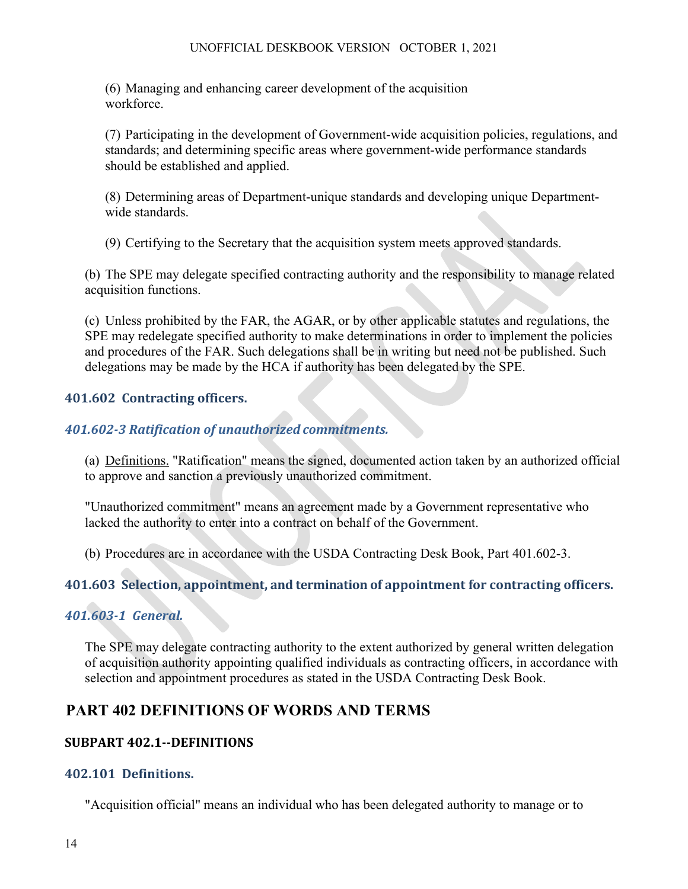(6) Managing and enhancing career development of the acquisition workforce.

(7) Participating in the development of Government-wide acquisition policies, regulations, and standards; and determining specific areas where government-wide performance standards should be established and applied.

(8) Determining areas of Department-unique standards and developing unique Departmentwide standards.

(9) Certifying to the Secretary that the acquisition system meets approved standards.

(b) The SPE may delegate specified contracting authority and the responsibility to manage related acquisition functions.

(c) Unless prohibited by the FAR, the AGAR, or by other applicable statutes and regulations, the SPE may redelegate specified authority to make determinations in order to implement the policies and procedures of the FAR. Such delegations shall be in writing but need not be published. Such delegations may be made by the HCA if authority has been delegated by the SPE.

## **401.602 Contracting officers.**

## *401.602-3 Ratification of unauthorized commitments.*

(a) Definitions. "Ratification" means the signed, documented action taken by an authorized official to approve and sanction a previously unauthorized commitment.

"Unauthorized commitment" means an agreement made by a Government representative who lacked the authority to enter into a contract on behalf of the Government.

(b) Procedures are in accordance with the USDA Contracting Desk Book, Part 401.602-3.

## **401.603 Selection, appointment, and termination of appointment for contracting officers.**

## *401.603-1 General.*

The SPE may delegate contracting authority to the extent authorized by general written delegation of acquisition authority appointing qualified individuals as contracting officers, in accordance with selection and appointment procedures as stated in the USDA Contracting Desk Book.

# **PART 402 DEFINITIONS OF WORDS AND TERMS**

## **SUBPART 402.1--DEFINITIONS**

## **402.101 Definitions.**

"Acquisition official" means an individual who has been delegated authority to manage or to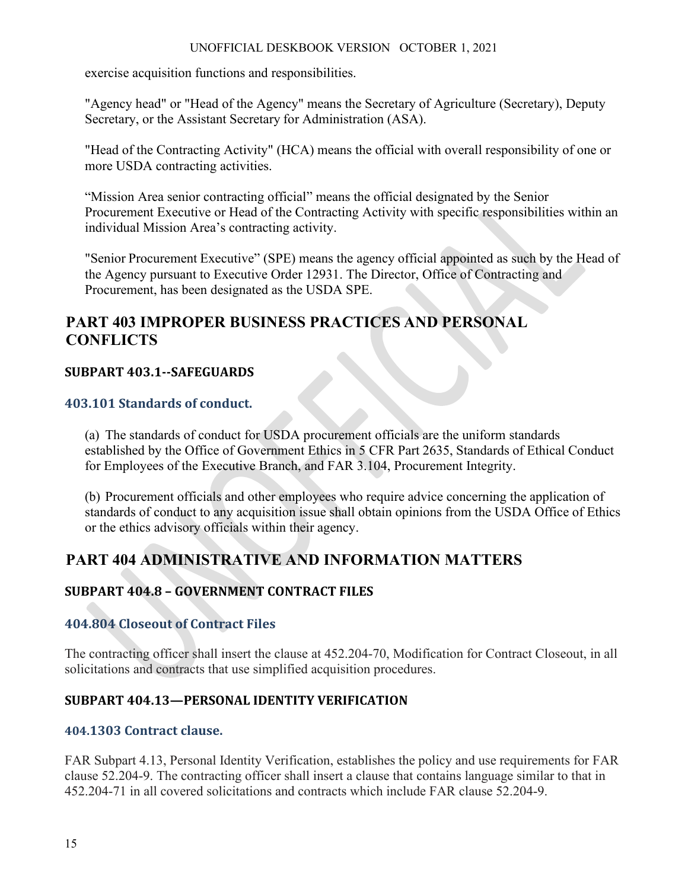exercise acquisition functions and responsibilities.

"Agency head" or "Head of the Agency" means the Secretary of Agriculture (Secretary), Deputy Secretary, or the Assistant Secretary for Administration (ASA).

"Head of the Contracting Activity" (HCA) means the official with overall responsibility of one or more USDA contracting activities.

"Mission Area senior contracting official" means the official designated by the Senior Procurement Executive or Head of the Contracting Activity with specific responsibilities within an individual Mission Area's contracting activity.

"Senior Procurement Executive" (SPE) means the agency official appointed as such by the Head of the Agency pursuant to Executive Order 12931. The Director, Office of Contracting and Procurement, has been designated as the USDA SPE.

# **PART 403 IMPROPER BUSINESS PRACTICES AND PERSONAL CONFLICTS**

## **SUBPART 403.1--SAFEGUARDS**

## **403.101 Standards of conduct.**

(a) The standards of conduct for USDA procurement officials are the uniform standards established by the Office of Government Ethics in 5 CFR Part 2635, Standards of Ethical Conduct for Employees of the Executive Branch, and FAR 3.104, Procurement Integrity.

(b) Procurement officials and other employees who require advice concerning the application of standards of conduct to any acquisition issue shall obtain opinions from the USDA Office of Ethics or the ethics advisory officials within their agency.

# **PART 404 ADMINISTRATIVE AND INFORMATION MATTERS**

## **SUBPART 404.8 – GOVERNMENT CONTRACT FILES**

## **404.804 Closeout of Contract Files**

The contracting officer shall insert the clause at 452.204-70, Modification for Contract Closeout, in all solicitations and contracts that use simplified acquisition procedures.

## **SUBPART 404.13—PERSONAL IDENTITY VERIFICATION**

## **404.1303 Contract clause.**

FAR Subpart 4.13, Personal Identity Verification, establishes the policy and use requirements for FAR clause 52.204-9. The contracting officer shall insert a clause that contains language similar to that in 452.204-71 in all covered solicitations and contracts which include FAR clause 52.204-9.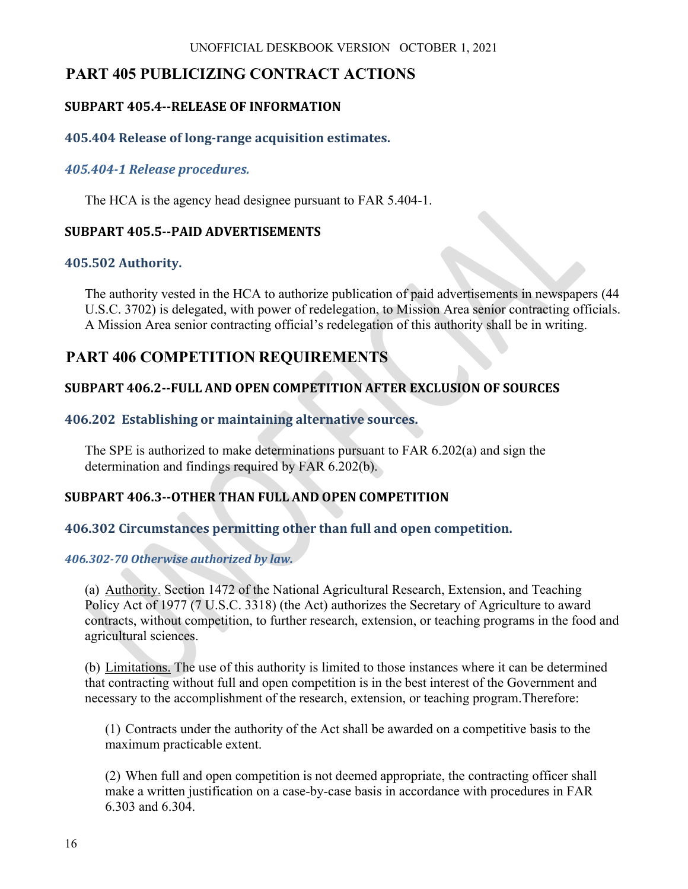# **PART 405 PUBLICIZING CONTRACT ACTIONS**

## **SUBPART 405.4--RELEASE OF INFORMATION**

## **405.404 Release of long-range acquisition estimates.**

## *405.404-1 Release procedures.*

The HCA is the agency head designee pursuant to FAR 5.404-1.

## **SUBPART 405.5--PAID ADVERTISEMENTS**

## **405.502 Authority.**

The authority vested in the HCA to authorize publication of paid advertisements in newspapers (44 U.S.C. 3702) is delegated, with power of redelegation, to Mission Area senior contracting officials. A Mission Area senior contracting official's redelegation of this authority shall be in writing.

# **PART 406 COMPETITION REQUIREMENTS**

## **SUBPART 406.2--FULL AND OPEN COMPETITION AFTER EXCLUSION OF SOURCES**

## **406.202 Establishing or maintaining alternative sources.**

The SPE is authorized to make determinations pursuant to FAR 6.202(a) and sign the determination and findings required by FAR 6.202(b).

## **SUBPART 406.3--OTHER THAN FULL AND OPEN COMPETITION**

## **406.302 Circumstances permitting other than full and open competition.**

## *406.302-70 Otherwise authorized by law.*

(a) Authority. Section 1472 of the National Agricultural Research, Extension, and Teaching Policy Act of 1977 (7 U.S.C. 3318) (the Act) authorizes the Secretary of Agriculture to award contracts, without competition, to further research, extension, or teaching programs in the food and agricultural sciences.

(b) Limitations. The use of this authority is limited to those instances where it can be determined that contracting without full and open competition is in the best interest of the Government and necessary to the accomplishment of the research, extension, or teaching program. Therefore:

(1) Contracts under the authority of the Act shall be awarded on a competitive basis to the maximum practicable extent.

(2) When full and open competition is not deemed appropriate, the contracting officer shall make a written justification on a case-by-case basis in accordance with procedures in FAR 6.303 and 6.304.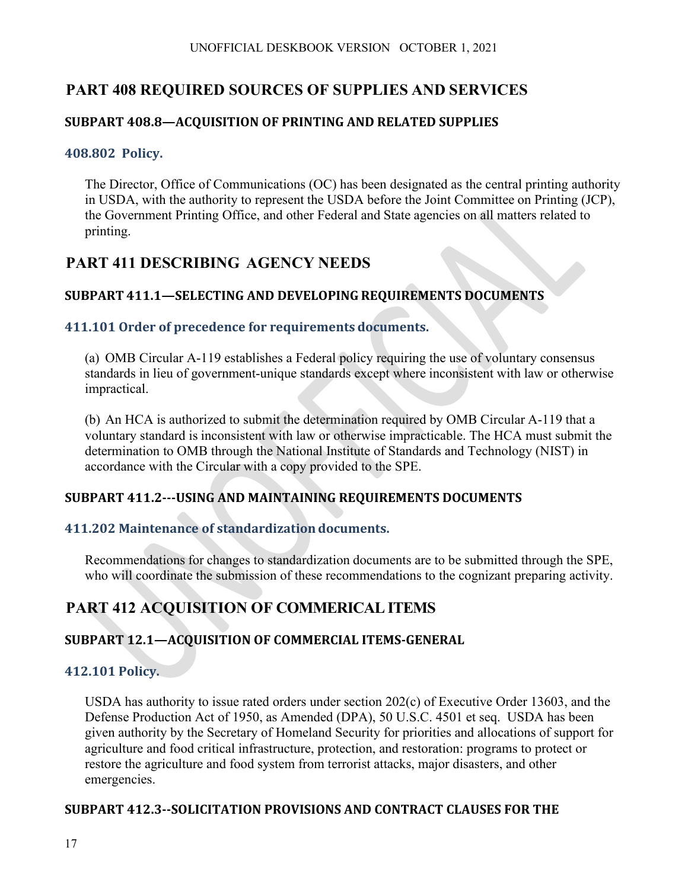# **PART 408 REQUIRED SOURCES OF SUPPLIES AND SERVICES**

## **SUBPART 408.8—ACQUISITION OF PRINTING AND RELATED SUPPLIES**

## **408.802 Policy.**

The Director, Office of Communications (OC) has been designated as the central printing authority in USDA, with the authority to represent the USDA before the Joint Committee on Printing (JCP), the Government Printing Office, and other Federal and State agencies on all matters related to printing.

# **PART 411 DESCRIBING AGENCY NEEDS**

## **SUBPART 411.1—SELECTING AND DEVELOPING REQUIREMENTS DOCUMENTS**

## **411.101 Order of precedence for requirements documents.**

(a) OMB Circular A-119 establishes a Federal policy requiring the use of voluntary consensus standards in lieu of government-unique standards except where inconsistent with law or otherwise impractical.

(b) An HCA is authorized to submit the determination required by OMB Circular A-119 that a voluntary standard is inconsistent with law or otherwise impracticable. The HCA must submit the determination to OMB through the National Institute of Standards and Technology (NIST) in accordance with the Circular with a copy provided to the SPE.

## **SUBPART 411.2---USING AND MAINTAINING REQUIREMENTS DOCUMENTS**

## **411.202 Maintenance of standardization documents.**

Recommendations for changes to standardization documents are to be submitted through the SPE, who will coordinate the submission of these recommendations to the cognizant preparing activity.

# **PART 412 ACQUISITION OF COMMERICAL ITEMS**

## **SUBPART 12.1—ACQUISITION OF COMMERCIAL ITEMS-GENERAL**

## **412.101 Policy.**

USDA has authority to issue rated orders under section 202(c) of Executive Order 13603, and the Defense Production Act of 1950, as Amended (DPA), 50 U.S.C. 4501 et seq. USDA has been given authority by the Secretary of Homeland Security for priorities and allocations of support for agriculture and food critical infrastructure, protection, and restoration: programs to protect or restore the agriculture and food system from terrorist attacks, major disasters, and other emergencies.

## **SUBPART 412.3--SOLICITATION PROVISIONS AND CONTRACT CLAUSES FOR THE**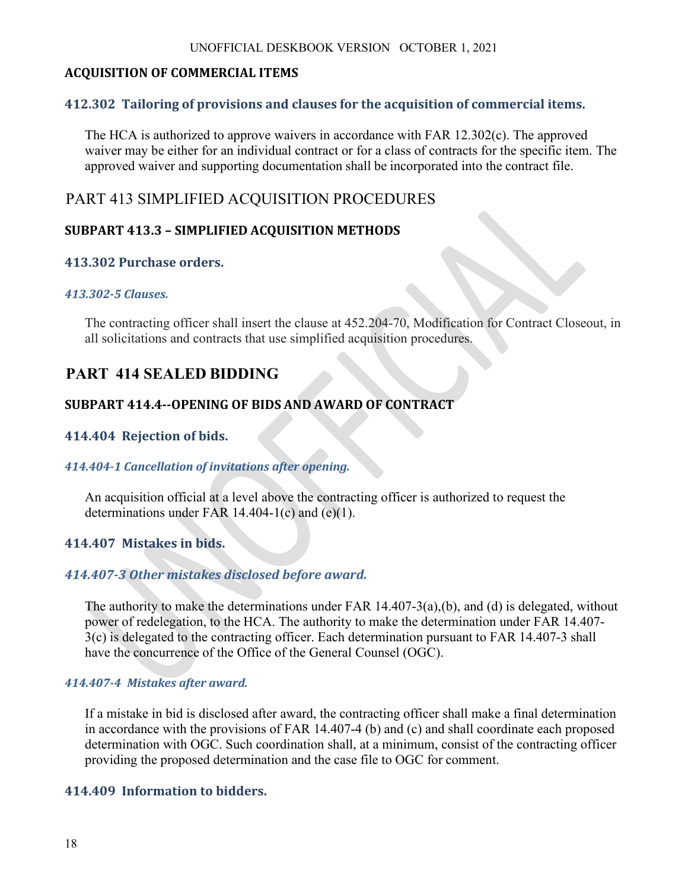## **ACQUISITION OF COMMERCIAL ITEMS**

## **412.302 Tailoring of provisions and clauses for the acquisition of commercial items.**

The HCA is authorized to approve waivers in accordance with FAR 12.302(c). The approved waiver may be either for an individual contract or for a class of contracts for the specific item. The approved waiver and supporting documentation shall be incorporated into the contract file.

## PART 413 SIMPLIFIED ACQUISITION PROCEDURES

## **SUBPART 413.3 – SIMPLIFIED ACQUISITION METHODS**

## **413.302 Purchase orders.**

### *413.302-5 Clauses.*

The contracting officer shall insert the clause at 452.204-70, Modification for Contract Closeout, in all solicitations and contracts that use simplified acquisition procedures.

## **PART 414 SEALED BIDDING**

## **SUBPART 414.4--OPENING OF BIDS AND AWARD OF CONTRACT**

## **414.404 Rejection of bids.**

## *414.404-1 Cancellation of invitations after opening.*

An acquisition official at a level above the contracting officer is authorized to request the determinations under FAR 14.404-1(c) and (e)(1).

## **414.407 Mistakes in bids.**

## *414.407-3 Other mistakes disclosed before award.*

The authority to make the determinations under FAR 14.407-3(a),(b), and (d) is delegated, without power of redelegation, to the HCA. The authority to make the determination under FAR 14.407- 3(c) is delegated to the contracting officer. Each determination pursuant to FAR 14.407-3 shall have the concurrence of the Office of the General Counsel (OGC).

#### *414.407-4 Mistakes after award.*

If a mistake in bid is disclosed after award, the contracting officer shall make a final determination in accordance with the provisions of FAR 14.407-4 (b) and (c) and shall coordinate each proposed determination with OGC. Such coordination shall, at a minimum, consist of the contracting officer providing the proposed determination and the case file to OGC for comment.

## **414.409 Information to bidders.**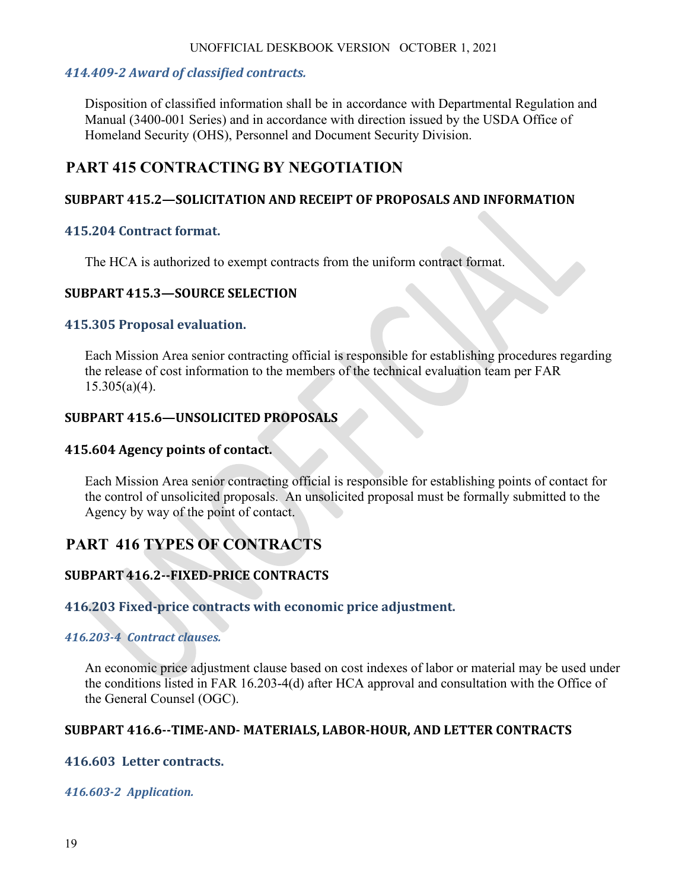### *414.409-2 Award of classified contracts.*

Disposition of classified information shall be in accordance with Departmental Regulation and Manual (3400-001 Series) and in accordance with direction issued by the USDA Office of Homeland Security (OHS), Personnel and Document Security Division.

## **PART 415 CONTRACTING BY NEGOTIATION**

## **SUBPART 415.2—SOLICITATION AND RECEIPT OF PROPOSALS AND INFORMATION**

## **415.204 Contract format.**

The HCA is authorized to exempt contracts from the uniform contract format.

### **SUBPART 415.3—SOURCE SELECTION**

### **415.305 Proposal evaluation.**

Each Mission Area senior contracting official is responsible for establishing procedures regarding the release of cost information to the members of the technical evaluation team per FAR  $15.305(a)(4)$ .

## **SUBPART 415.6—UNSOLICITED PROPOSALS**

#### **415.604 Agency points of contact.**

Each Mission Area senior contracting official is responsible for establishing points of contact for the control of unsolicited proposals. An unsolicited proposal must be formally submitted to the Agency by way of the point of contact.

## **PART 416 TYPES OF CONTRACTS**

## **SUBPART 416.2--FIXED-PRICE CONTRACTS**

### <span id="page-18-0"></span>**416.203 Fixed-price contracts with economic price adjustment.**

### *416.203-4 Contract clauses.*

An economic price adjustment clause based on cost indexes of labor or material may be used under the conditions listed in FAR 16.203-4(d) after HCA approval and consultation with the Office of the General Counsel (OGC).

### <span id="page-18-1"></span>**SUBPART 416.6--TIME-AND- MATERIALS, LABOR-HOUR, AND LETTER CONTRACTS**

### <span id="page-18-2"></span>**416.603 Letter contracts.**

#### *416.603-2 Application.*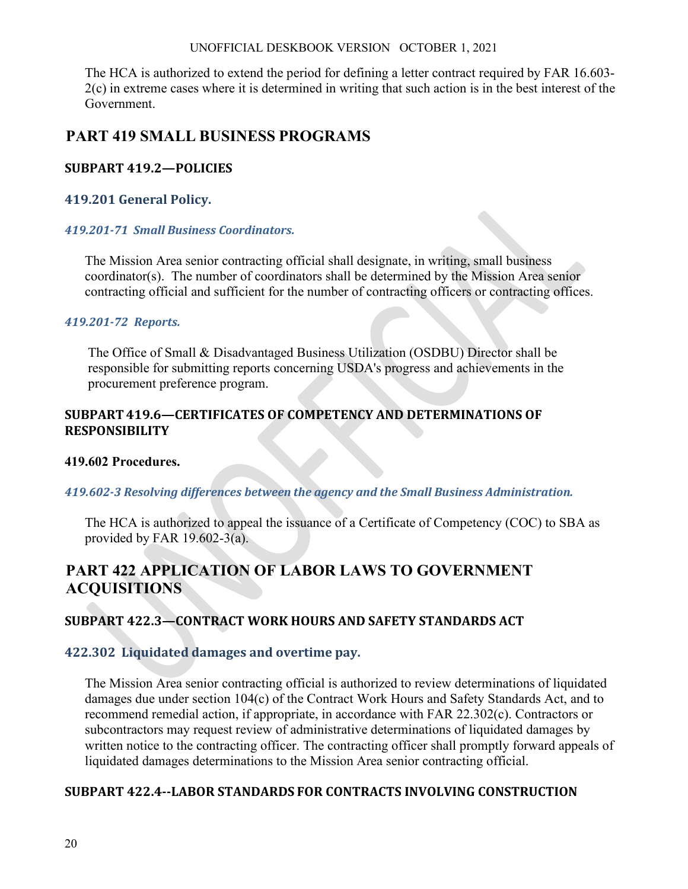The HCA is authorized to extend the period for defining a letter contract required by FAR 16.603- 2(c) in extreme cases where it is determined in writing that such action is in the best interest of the Government.

## <span id="page-19-0"></span>**PART 419 SMALL BUSINESS PROGRAMS**

### <span id="page-19-1"></span>**SUBPART 419.2—POLICIES**

### <span id="page-19-2"></span>**419.201 General Policy.**

#### *419.201-71 Small Business Coordinators.*

The Mission Area senior contracting official shall designate, in writing, small business coordinator(s). The number of coordinators shall be determined by the Mission Area senior contracting official and sufficient for the number of contracting officers or contracting offices.

#### *419.201-72 Reports.*

The Office of Small & Disadvantaged Business Utilization (OSDBU) Director shall be responsible for submitting reports concerning USDA's progress and achievements in the procurement preference program.

## <span id="page-19-3"></span>**SUBPART 419.6—CERTIFICATES OF COMPETENCY AND DETERMINATIONS OF RESPONSIBILITY**

## <span id="page-19-4"></span>**419.602 Procedures.**

#### *419.602-3 Resolving differences between the agency and the Small Business Administration.*

The HCA is authorized to appeal the issuance of a Certificate of Competency (COC) to SBA as provided by FAR 19.602-3(a).

# <span id="page-19-5"></span>**PART 422 APPLICATION OF LABOR LAWS TO GOVERNMENT ACQUISITIONS**

## <span id="page-19-6"></span>**SUBPART 422.3—CONTRACT WORK HOURS AND SAFETY STANDARDS ACT**

## <span id="page-19-7"></span>**422.302 Liquidated damages and overtime pay.**

The Mission Area senior contracting official is authorized to review determinations of liquidated damages due under section 104(c) of the Contract Work Hours and Safety Standards Act, and to recommend remedial action, if appropriate, in accordance with FAR 22.302(c). Contractors or subcontractors may request review of administrative determinations of liquidated damages by written notice to the contracting officer. The contracting officer shall promptly forward appeals of liquidated damages determinations to the Mission Area senior contracting official.

## <span id="page-19-8"></span>**SUBPART 422.4--LABOR STANDARDS FOR CONTRACTS INVOLVING CONSTRUCTION**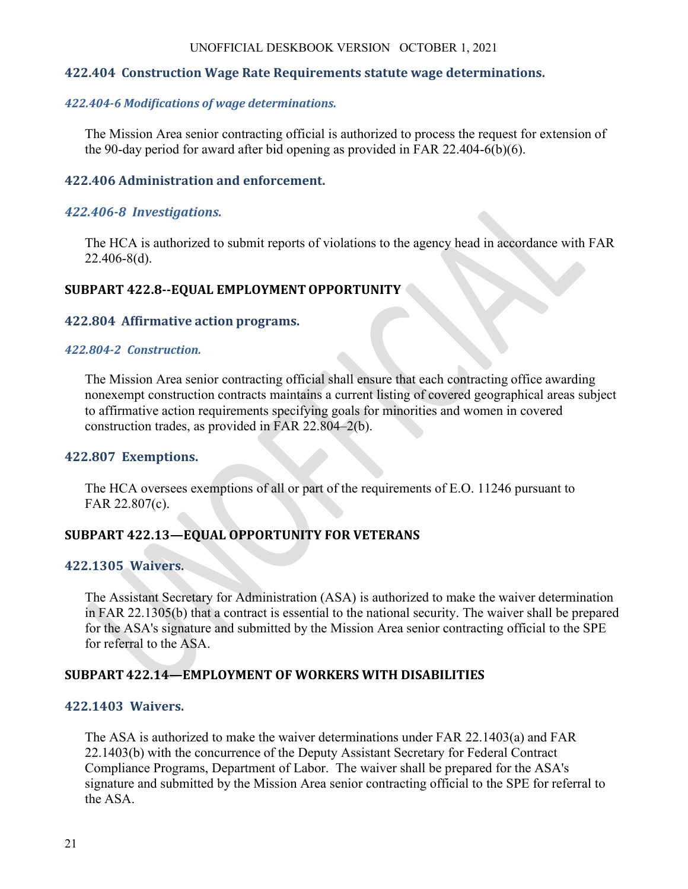### <span id="page-20-0"></span>**422.404 Construction Wage Rate Requirements statute wage determinations.**

#### *422.404-6 Modifications of wage determinations.*

The Mission Area senior contracting official is authorized to process the request for extension of the 90-day period for award after bid opening as provided in FAR 22.404-6(b)(6).

## <span id="page-20-1"></span>**422.406 Administration and enforcement.**

#### *422.406-8 Investigations.*

The HCA is authorized to submit reports of violations to the agency head in accordance with FAR 22.406-8(d).

#### <span id="page-20-2"></span>**SUBPART 422.8--EQUAL EMPLOYMENTOPPORTUNITY**

### <span id="page-20-3"></span>**422.804 Affirmative action programs.**

#### *422.804-2 Construction.*

The Mission Area senior contracting official shall ensure that each contracting office awarding nonexempt construction contracts maintains a current listing of covered geographical areas subject to affirmative action requirements specifying goals for minorities and women in covered construction trades, as provided in FAR 22.804–2(b).

### <span id="page-20-4"></span>**422.807 Exemptions.**

The HCA oversees exemptions of all or part of the requirements of E.O. 11246 pursuant to FAR 22.807(c).

## <span id="page-20-5"></span>**SUBPART 422.13—EQUAL OPPORTUNITY FOR VETERANS**

#### <span id="page-20-6"></span>**422.1305 Waivers.**

The Assistant Secretary for Administration (ASA) is authorized to make the waiver determination in FAR 22.1305(b) that a contract is essential to the national security. The waiver shall be prepared for the ASA's signature and submitted by the Mission Area senior contracting official to the SPE for referral to the ASA.

### <span id="page-20-7"></span>**SUBPART 422.14—EMPLOYMENT OF WORKERS WITH DISABILITIES**

#### <span id="page-20-8"></span>**422.1403 Waivers.**

The ASA is authorized to make the waiver determinations under FAR 22.1403(a) and FAR 22.1403(b) with the concurrence of the Deputy Assistant Secretary for Federal Contract Compliance Programs, Department of Labor. The waiver shall be prepared for the ASA's signature and submitted by the Mission Area senior contracting official to the SPE for referral to the ASA.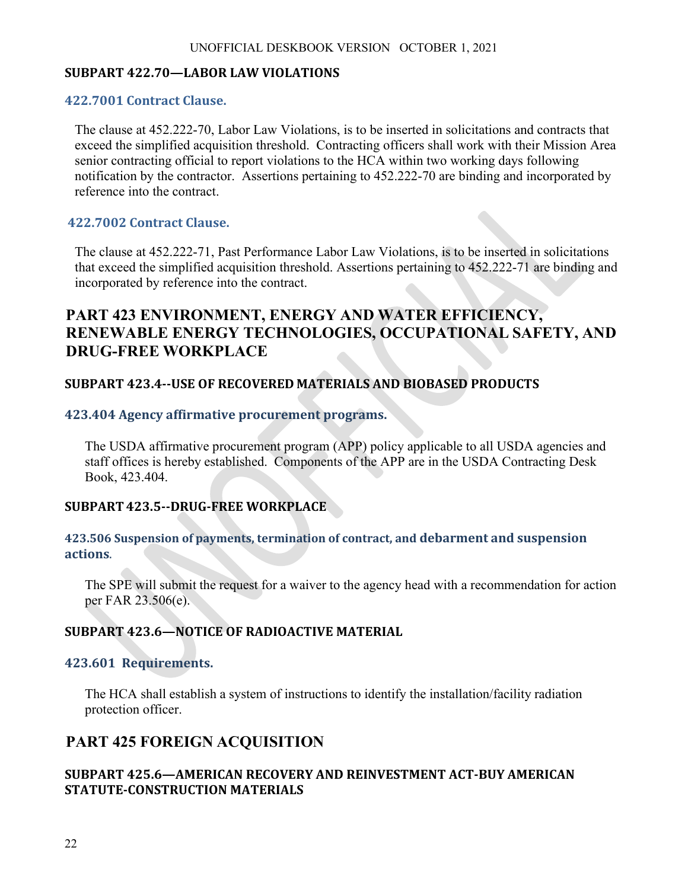## <span id="page-21-0"></span>**SUBPART 422.70—LABOR LAW VIOLATIONS**

### <span id="page-21-1"></span>**422.7001 Contract Clause.**

The clause at 452.222-70, Labor Law Violations, is to be inserted in solicitations and contracts that exceed the simplified acquisition threshold. Contracting officers shall work with their Mission Area senior contracting official to report violations to the HCA within two working days following notification by the contractor. Assertions pertaining to 452.222-70 are binding and incorporated by reference into the contract.

## <span id="page-21-2"></span>**422.7002 Contract Clause.**

The clause at 452.222-71, Past Performance Labor Law Violations, is to be inserted in solicitations that exceed the simplified acquisition threshold. Assertions pertaining to 452.222-71 are binding and incorporated by reference into the contract.

# <span id="page-21-3"></span>**PART 423 ENVIRONMENT, ENERGY AND WATER EFFICIENCY, RENEWABLE ENERGY TECHNOLOGIES, OCCUPATIONAL SAFETY, AND DRUG-FREE WORKPLACE**

## <span id="page-21-4"></span>**SUBPART 423.4--USE OF RECOVERED MATERIALS AND BIOBASED PRODUCTS**

## <span id="page-21-5"></span>**423.404 Agency affirmative procurement programs.**

The USDA affirmative procurement program (APP) policy applicable to all USDA agencies and staff offices is hereby established. Components of the APP are in the USDA Contracting Desk Book, 423.404.

## <span id="page-21-6"></span>**SUBPART 423.5--DRUG-FREE WORKPLACE**

## <span id="page-21-7"></span>**423.506 Suspension of payments, termination of contract, and debarment and suspension actions**.

The SPE will submit the request for a waiver to the agency head with a recommendation for action per FAR 23.506(e).

## <span id="page-21-8"></span>**SUBPART 423.6—NOTICE OF RADIOACTIVE MATERIAL**

## <span id="page-21-9"></span>**423.601 Requirements.**

The HCA shall establish a system of instructions to identify the installation/facility radiation protection officer.

# <span id="page-21-10"></span>**PART 425 FOREIGN ACQUISITION**

## <span id="page-21-11"></span>**SUBPART 425.6—AMERICAN RECOVERY AND REINVESTMENT ACT-BUY AMERICAN STATUTE-CONSTRUCTION MATERIALS**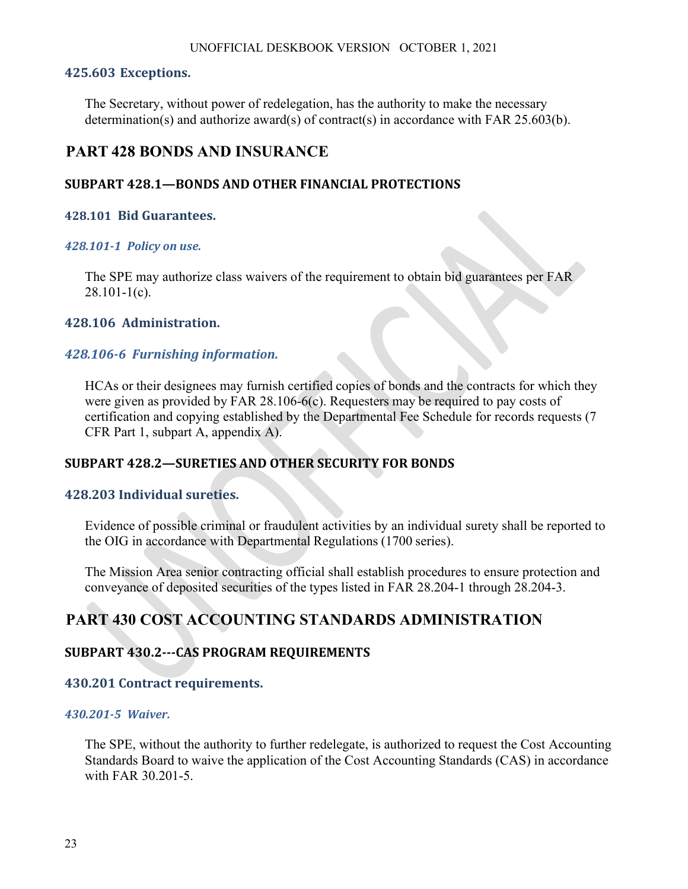#### <span id="page-22-0"></span>**425.603 Exceptions.**

The Secretary, without power of redelegation, has the authority to make the necessary determination(s) and authorize award(s) of contract(s) in accordance with FAR 25.603(b).

## <span id="page-22-1"></span>**PART 428 BONDS AND INSURANCE**

### <span id="page-22-2"></span>**SUBPART 428.1—BONDS AND OTHER FINANCIAL PROTECTIONS**

#### <span id="page-22-3"></span>**428.101 Bid Guarantees.**

#### *428.101-1 Policy on use.*

The SPE may authorize class waivers of the requirement to obtain bid guarantees per FAR  $28.101 - 1(c)$ .

### <span id="page-22-4"></span>**428.106 Administration.**

### *428.106-6 Furnishing information.*

HCAs or their designees may furnish certified copies of bonds and the contracts for which they were given as provided by FAR 28.106-6(c). Requesters may be required to pay costs of certification and copying established by the Departmental Fee Schedule for records requests (7 CFR Part 1, subpart A, appendix A).

## <span id="page-22-5"></span>**SUBPART 428.2—SURETIES AND OTHER SECURITY FOR BONDS**

#### <span id="page-22-6"></span>**428.203 Individual sureties.**

Evidence of possible criminal or fraudulent activities by an individual surety shall be reported to the OIG in accordance with Departmental Regulations (1700 series).

The Mission Area senior contracting official shall establish procedures to ensure protection and conveyance of deposited securities of the types listed in FAR 28.204-1 through 28.204-3.

## <span id="page-22-7"></span>**PART 430 COST ACCOUNTING STANDARDS ADMINISTRATION**

## <span id="page-22-8"></span>**SUBPART 430.2---CAS PROGRAM REQUIREMENTS**

#### <span id="page-22-9"></span>**430.201 Contract requirements.**

#### *430.201-5 Waiver.*

The SPE, without the authority to further redelegate, is authorized to request the Cost Accounting Standards Board to waive the application of the Cost Accounting Standards (CAS) in accordance with FAR 30.201-5.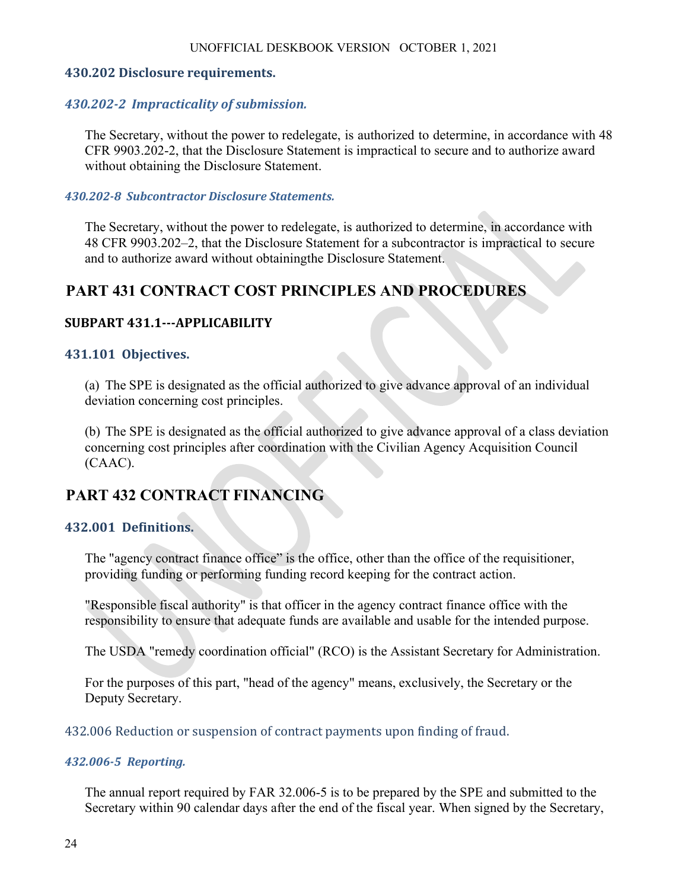### <span id="page-23-0"></span>**430.202 Disclosure requirements.**

### *430.202-2 Impracticality of submission.*

The Secretary, without the power to redelegate, is authorized to determine, in accordance with 48 CFR 9903.202-2, that the Disclosure Statement is impractical to secure and to authorize award without obtaining the Disclosure Statement.

#### *430.202-8 Subcontractor Disclosure Statements.*

The Secretary, without the power to redelegate, is authorized to determine, in accordance with 48 CFR 9903.202–2, that the Disclosure Statement for a subcontractor is impractical to secure and to authorize award without obtainingthe Disclosure Statement.

# <span id="page-23-1"></span>**PART 431 CONTRACT COST PRINCIPLES AND PROCEDURES**

## <span id="page-23-2"></span>**SUBPART 431.1---APPLICABILITY**

### <span id="page-23-3"></span>**431.101 Objectives.**

(a) The SPE is designated as the official authorized to give advance approval of an individual deviation concerning cost principles.

(b) The SPE is designated as the official authorized to give advance approval of a class deviation concerning cost principles after coordination with the Civilian Agency Acquisition Council (CAAC).

# <span id="page-23-4"></span>**PART 432 CONTRACT FINANCING**

## <span id="page-23-5"></span>**432.001 Definitions.**

The "agency contract finance office" is the office, other than the office of the requisitioner, providing funding or performing funding record keeping for the contract action.

"Responsible fiscal authority" is that officer in the agency contract finance office with the responsibility to ensure that adequate funds are available and usable for the intended purpose.

The USDA "remedy coordination official" (RCO) is the Assistant Secretary for Administration.

For the purposes of this part, "head of the agency" means, exclusively, the Secretary or the Deputy Secretary.

<span id="page-23-6"></span>432.006 Reduction or suspension of contract payments upon finding of fraud.

## *432.006-5 Reporting.*

The annual report required by FAR 32.006-5 is to be prepared by the SPE and submitted to the Secretary within 90 calendar days after the end of the fiscal year. When signed by the Secretary,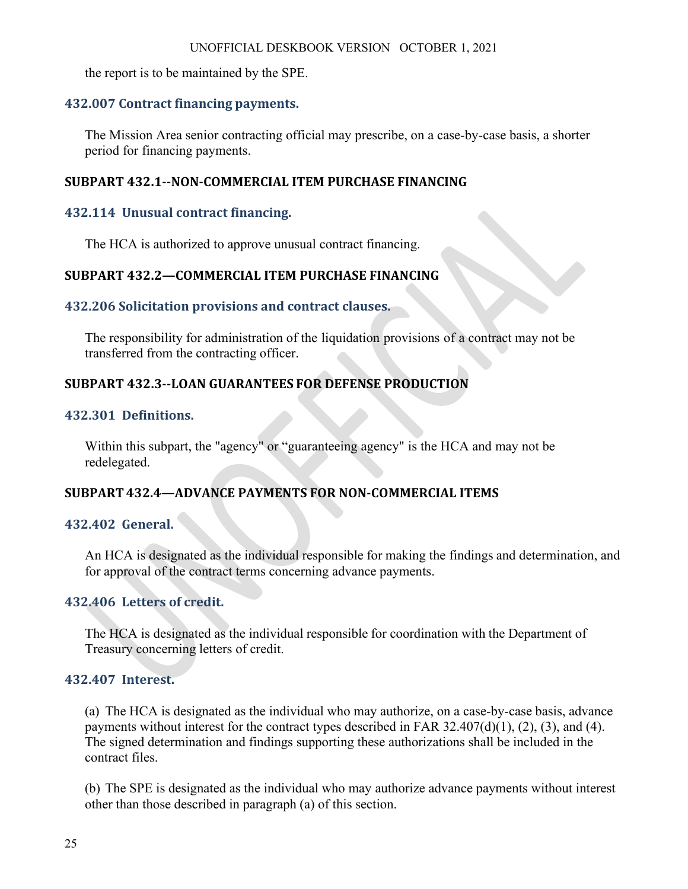the report is to be maintained by the SPE.

### <span id="page-24-0"></span>**432.007 Contract financing payments.**

The Mission Area senior contracting official may prescribe, on a case-by-case basis, a shorter period for financing payments.

### <span id="page-24-1"></span>**SUBPART 432.1--NON-COMMERCIAL ITEM PURCHASE FINANCING**

## <span id="page-24-2"></span>**432.114 Unusual contract financing.**

The HCA is authorized to approve unusual contract financing.

## <span id="page-24-3"></span>**SUBPART 432.2—COMMERCIAL ITEM PURCHASE FINANCING**

### <span id="page-24-4"></span>**432.206 Solicitation provisions and contract clauses.**

The responsibility for administration of the liquidation provisions of a contract may not be transferred from the contracting officer.

## <span id="page-24-5"></span>**SUBPART 432.3--LOAN GUARANTEES FOR DEFENSE PRODUCTION**

### <span id="page-24-6"></span>**432.301 Definitions.**

Within this subpart, the "agency" or "guaranteeing agency" is the HCA and may not be redelegated.

## <span id="page-24-7"></span>**SUBPART 432.4—ADVANCE PAYMENTS FOR NON-COMMERCIAL ITEMS**

## <span id="page-24-8"></span>**432.402 General.**

An HCA is designated as the individual responsible for making the findings and determination, and for approval of the contract terms concerning advance payments.

## <span id="page-24-9"></span>**432.406 Letters of credit.**

The HCA is designated as the individual responsible for coordination with the Department of Treasury concerning letters of credit.

#### <span id="page-24-10"></span>**432.407 Interest.**

(a) The HCA is designated as the individual who may authorize, on a case-by-case basis, advance payments without interest for the contract types described in FAR 32.407(d)(1), (2), (3), and (4). The signed determination and findings supporting these authorizations shall be included in the contract files.

(b) The SPE is designated as the individual who may authorize advance payments without interest other than those described in paragraph (a) of this section.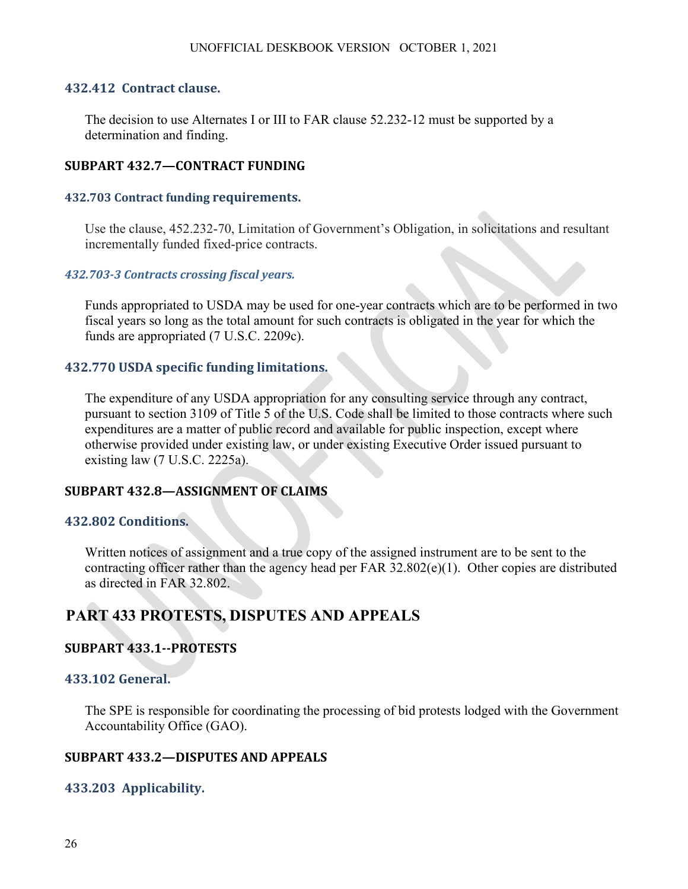### <span id="page-25-0"></span>**432.412 Contract clause.**

The decision to use Alternates I or III to FAR clause 52.232-12 must be supported by a determination and finding.

## <span id="page-25-1"></span>**SUBPART 432.7—CONTRACT FUNDING**

### <span id="page-25-2"></span>**432.703 Contract funding requirements.**

Use the clause, 452.232-70, Limitation of Government's Obligation, in solicitations and resultant incrementally funded fixed-price contracts.

### *432.703-3 Contracts crossing fiscal years.*

Funds appropriated to USDA may be used for one-year contracts which are to be performed in two fiscal years so long as the total amount for such contracts is obligated in the year for which the funds are appropriated (7 U.S.C. 2209c).

## <span id="page-25-3"></span>**432.770 USDA specific funding limitations.**

The expenditure of any USDA appropriation for any consulting service through any contract, pursuant to section 3109 of Title 5 of the U.S. Code shall be limited to those contracts where such expenditures are a matter of public record and available for public inspection, except where otherwise provided under existing law, or under existing Executive Order issued pursuant to existing law (7 U.S.C. 2225a).

## <span id="page-25-4"></span>**SUBPART 432.8—ASSIGNMENT OF CLAIMS**

## <span id="page-25-5"></span>**432.802 Conditions.**

Written notices of assignment and a true copy of the assigned instrument are to be sent to the contracting officer rather than the agency head per FAR 32.802(e)(1). Other copies are distributed as directed in FAR 32.802.

# <span id="page-25-6"></span>**PART 433 PROTESTS, DISPUTES AND APPEALS**

## <span id="page-25-7"></span>**SUBPART 433.1--PROTESTS**

## <span id="page-25-8"></span>**433.102 General.**

The SPE is responsible for coordinating the processing of bid protests lodged with the Government Accountability Office (GAO).

## <span id="page-25-9"></span>**SUBPART 433.2—DISPUTES AND APPEALS**

## <span id="page-25-10"></span>**433.203 Applicability.**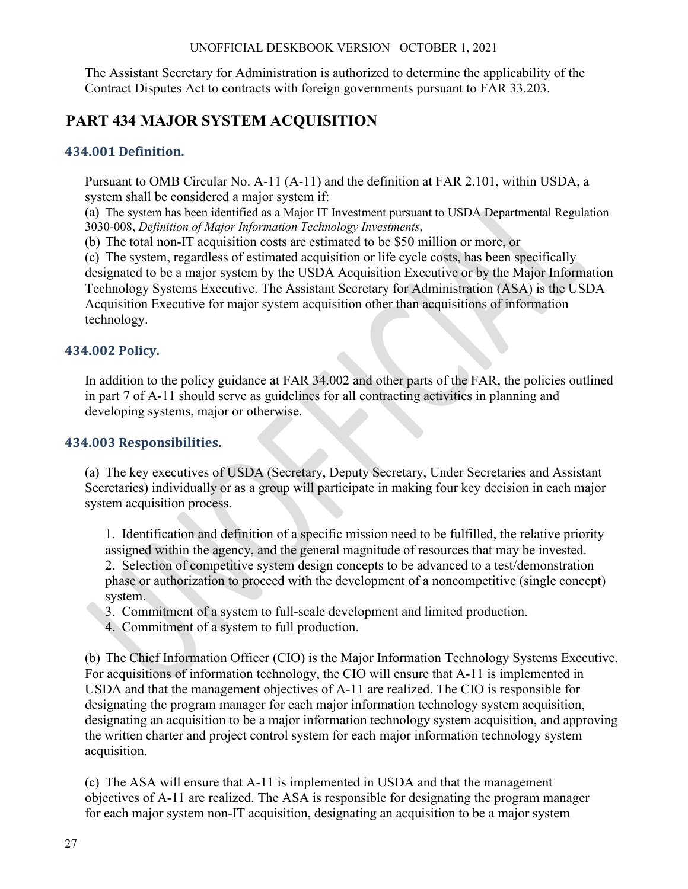The Assistant Secretary for Administration is authorized to determine the applicability of the Contract Disputes Act to contracts with foreign governments pursuant to FAR 33.203.

# <span id="page-26-0"></span>**PART 434 MAJOR SYSTEM ACQUISITION**

## <span id="page-26-1"></span>**434.001 Definition.**

Pursuant to OMB Circular No. A-11 (A-11) and the definition at FAR 2.101, within USDA, a system shall be considered a major system if:

(a) The system has been identified as a Major IT Investment pursuant to USDA Departmental Regulation 3030-008, *Definition of Major Information Technology Investments*,

(b) The total non-IT acquisition costs are estimated to be \$50 million or more, or

(c) The system, regardless of estimated acquisition or life cycle costs, has been specifically designated to be a major system by the USDA Acquisition Executive or by the Major Information Technology Systems Executive. The Assistant Secretary for Administration (ASA) is the USDA Acquisition Executive for major system acquisition other than acquisitions of information technology.

## <span id="page-26-2"></span>**434.002 Policy.**

In addition to the policy guidance at FAR 34.002 and other parts of the FAR, the policies outlined in part 7 of A-11 should serve as guidelines for all contracting activities in planning and developing systems, major or otherwise.

## <span id="page-26-3"></span>**434.003 Responsibilities.**

(a) The key executives of USDA (Secretary, Deputy Secretary, Under Secretaries and Assistant Secretaries) individually or as a group will participate in making four key decision in each major system acquisition process.

1. Identification and definition of a specific mission need to be fulfilled, the relative priority assigned within the agency, and the general magnitude of resources that may be invested.

2. Selection of competitive system design concepts to be advanced to a test/demonstration phase or authorization to proceed with the development of a noncompetitive (single concept) system.

- 3. Commitment of a system to full-scale development and limited production.
- 4. Commitment of a system to full production.

(b) The Chief Information Officer (CIO) is the Major Information Technology Systems Executive. For acquisitions of information technology, the CIO will ensure that A-11 is implemented in USDA and that the management objectives of A-11 are realized. The CIO is responsible for designating the program manager for each major information technology system acquisition, designating an acquisition to be a major information technology system acquisition, and approving the written charter and project control system for each major information technology system acquisition.

(c) The ASA will ensure that A-11 is implemented in USDA and that the management objectives of A-11 are realized. The ASA is responsible for designating the program manager for each major system non-IT acquisition, designating an acquisition to be a major system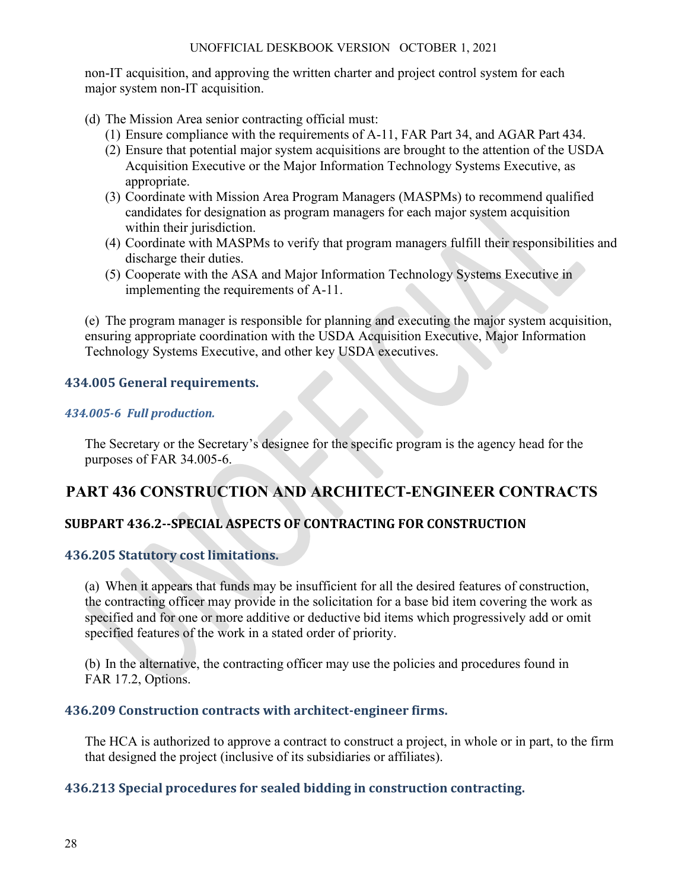non-IT acquisition, and approving the written charter and project control system for each major system non-IT acquisition.

- (d) The Mission Area senior contracting official must:
	- (1) Ensure compliance with the requirements of A-11, FAR Part 34, and AGAR Part 434.
	- (2) Ensure that potential major system acquisitions are brought to the attention of the USDA Acquisition Executive or the Major Information Technology Systems Executive, as appropriate.
	- (3) Coordinate with Mission Area Program Managers (MASPMs) to recommend qualified candidates for designation as program managers for each major system acquisition within their jurisdiction.
	- (4) Coordinate with MASPMs to verify that program managers fulfill their responsibilities and discharge their duties.
	- (5) Cooperate with the ASA and Major Information Technology Systems Executive in implementing the requirements of A-11.

(e) The program manager is responsible for planning and executing the major system acquisition, ensuring appropriate coordination with the USDA Acquisition Executive, Major Information Technology Systems Executive, and other key USDA executives.

## <span id="page-27-0"></span>**434.005 General requirements.**

## *434.005-6 Full production.*

The Secretary or the Secretary's designee for the specific program is the agency head for the purposes of FAR 34.005-6.

# <span id="page-27-1"></span>**PART 436 CONSTRUCTION AND ARCHITECT-ENGINEER CONTRACTS**

## <span id="page-27-2"></span>**SUBPART 436.2--SPECIAL ASPECTS OF CONTRACTING FOR CONSTRUCTION**

## <span id="page-27-3"></span>**436.205 Statutory cost limitations.**

(a) When it appears that funds may be insufficient for all the desired features of construction, the contracting officer may provide in the solicitation for a base bid item covering the work as specified and for one or more additive or deductive bid items which progressively add or omit specified features of the work in a stated order of priority.

(b) In the alternative, the contracting officer may use the policies and procedures found in FAR 17.2, Options.

## <span id="page-27-4"></span>**436.209 Construction contracts with architect-engineer firms.**

The HCA is authorized to approve a contract to construct a project, in whole or in part, to the firm that designed the project (inclusive of its subsidiaries or affiliates).

## <span id="page-27-5"></span>**436.213 Special procedures for sealed bidding in construction contracting.**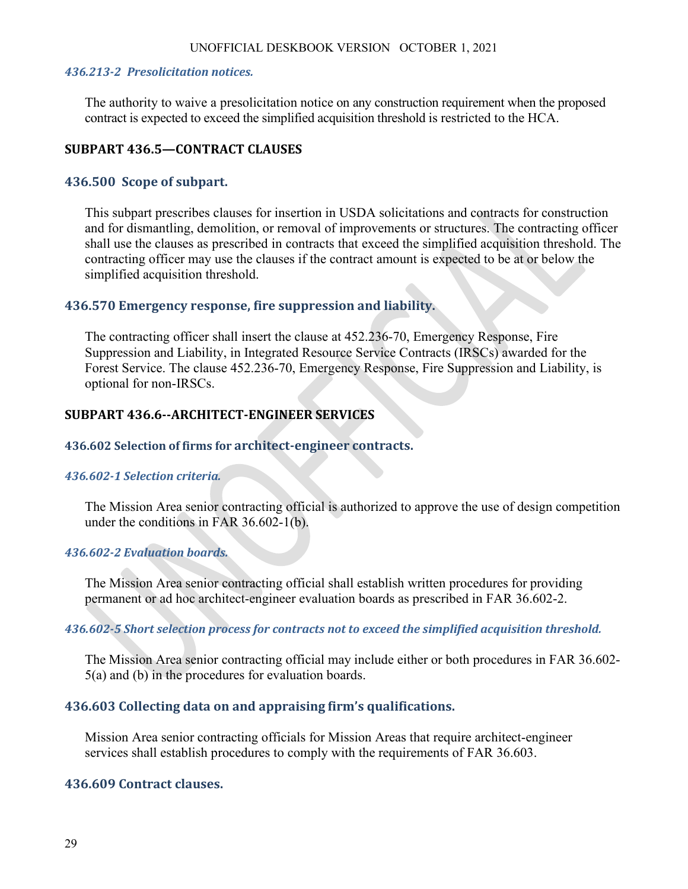#### *436.213-2 Presolicitation notices.*

The authority to waive a presolicitation notice on any construction requirement when the proposed contract is expected to exceed the simplified acquisition threshold is restricted to the HCA.

## <span id="page-28-0"></span>**SUBPART 436.5—CONTRACT CLAUSES**

## <span id="page-28-1"></span>**436.500 Scope of subpart.**

This subpart prescribes clauses for insertion in USDA solicitations and contracts for construction and for dismantling, demolition, or removal of improvements or structures. The contracting officer shall use the clauses as prescribed in contracts that exceed the simplified acquisition threshold. The contracting officer may use the clauses if the contract amount is expected to be at or below the simplified acquisition threshold.

## <span id="page-28-2"></span>**436.570 Emergency response, fire suppression and liability.**

The contracting officer shall insert the clause at 452.236-70, Emergency Response, Fire Suppression and Liability, in Integrated Resource Service Contracts (IRSCs) awarded for the Forest Service. The clause 452.236-70, Emergency Response, Fire Suppression and Liability, is optional for non-IRSCs.

## <span id="page-28-3"></span>**SUBPART 436.6--ARCHITECT-ENGINEER SERVICES**

### <span id="page-28-4"></span>**436.602 Selection of firms for architect-engineer contracts.**

## *436.602-1 Selection criteria.*

The Mission Area senior contracting official is authorized to approve the use of design competition under the conditions in FAR 36.602-1(b).

#### *436.602-2 Evaluation boards.*

The Mission Area senior contracting official shall establish written procedures for providing permanent or ad hoc architect-engineer evaluation boards as prescribed in FAR 36.602-2.

#### *436.602-5 Short selection process for contracts not to exceed the simplified acquisition threshold.*

The Mission Area senior contracting official may include either or both procedures in FAR 36.602- 5(a) and (b) in the procedures for evaluation boards.

## <span id="page-28-5"></span>**436.603 Collecting data on and appraising firm's qualifications.**

Mission Area senior contracting officials for Mission Areas that require architect-engineer services shall establish procedures to comply with the requirements of FAR 36.603.

## <span id="page-28-6"></span>**436.609 Contract clauses.**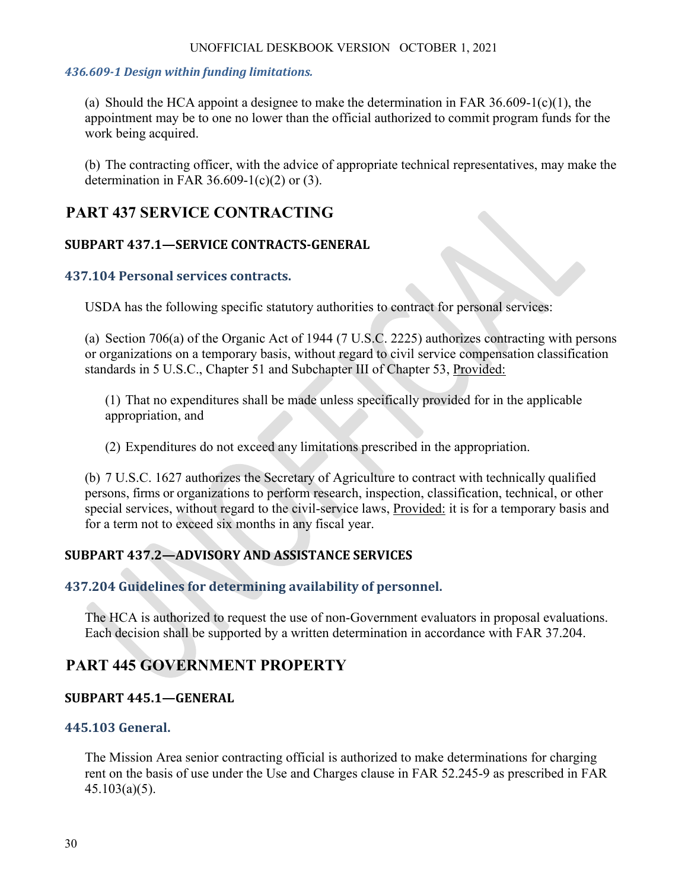#### *436.609-1 Design within funding limitations.*

(a) Should the HCA appoint a designee to make the determination in FAR  $36.609-1(c)(1)$ , the appointment may be to one no lower than the official authorized to commit program funds for the work being acquired.

(b) The contracting officer, with the advice of appropriate technical representatives, may make the determination in FAR 36.609-1(c)(2) or  $(3)$ .

## <span id="page-29-0"></span>**PART 437 SERVICE CONTRACTING**

### <span id="page-29-1"></span>**SUBPART 437.1—SERVICE CONTRACTS-GENERAL**

#### <span id="page-29-2"></span>**437.104 Personal services contracts.**

USDA has the following specific statutory authorities to contract for personal services:

(a) Section 706(a) of the Organic Act of 1944 (7 U.S.C. 2225) authorizes contracting with persons or organizations on a temporary basis, without regard to civil service compensation classification standards in 5 U.S.C., Chapter 51 and Subchapter III of Chapter 53, Provided:

(1) That no expenditures shall be made unless specifically provided for in the applicable appropriation, and

(2) Expenditures do not exceed any limitations prescribed in the appropriation.

(b) 7 U.S.C. 1627 authorizes the Secretary of Agriculture to contract with technically qualified persons, firms or organizations to perform research, inspection, classification, technical, or other special services, without regard to the civil-service laws, Provided: it is for a temporary basis and for a term not to exceed six months in any fiscal year.

## <span id="page-29-3"></span>**SUBPART 437.2—ADVISORY AND ASSISTANCE SERVICES**

### <span id="page-29-4"></span>**437.204 Guidelines for determining availability of personnel.**

The HCA is authorized to request the use of non-Government evaluators in proposal evaluations. Each decision shall be supported by a written determination in accordance with FAR 37.204.

## <span id="page-29-5"></span>**PART 445 GOVERNMENT PROPERTY**

#### <span id="page-29-6"></span>**SUBPART 445.1—GENERAL**

#### <span id="page-29-7"></span>**445.103 General.**

The Mission Area senior contracting official is authorized to make determinations for charging rent on the basis of use under the Use and Charges clause in FAR 52.245-9 as prescribed in FAR  $45.103(a)(5)$ .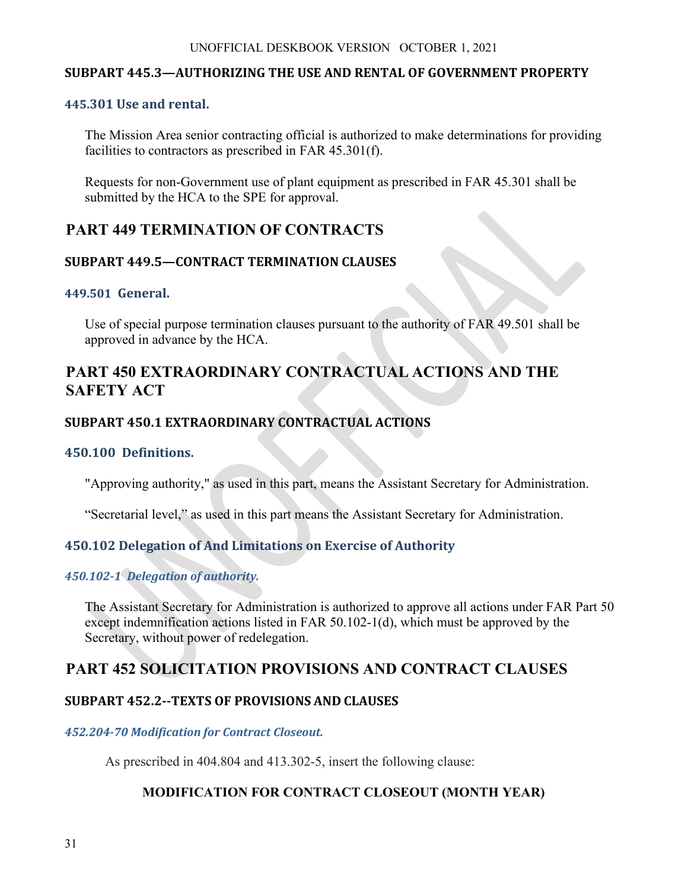### <span id="page-30-0"></span>**SUBPART 445.3—AUTHORIZING THE USE AND RENTAL OF GOVERNMENT PROPERTY**

### <span id="page-30-1"></span>**445.301 Use and rental.**

The Mission Area senior contracting official is authorized to make determinations for providing facilities to contractors as prescribed in FAR 45.301(f).

Requests for non-Government use of plant equipment as prescribed in FAR 45.301 shall be submitted by the HCA to the SPE for approval.

## <span id="page-30-2"></span>**PART 449 TERMINATION OF CONTRACTS**

## <span id="page-30-3"></span>**SUBPART 449.5—CONTRACT TERMINATION CLAUSES**

### <span id="page-30-4"></span>**449.501 General.**

Use of special purpose termination clauses pursuant to the authority of FAR 49.501 shall be approved in advance by the HCA.

# <span id="page-30-5"></span>**PART 450 EXTRAORDINARY CONTRACTUAL ACTIONS AND THE SAFETY ACT**

## <span id="page-30-6"></span>**SUBPART 450.1 EXTRAORDINARY CONTRACTUAL ACTIONS**

### <span id="page-30-7"></span>**450.100 Definitions.**

"Approving authority," as used in this part, means the Assistant Secretary for Administration.

"Secretarial level," as used in this part means the Assistant Secretary for Administration.

## <span id="page-30-8"></span>**450.102 Delegation of And Limitations on Exercise of Authority**

## *450.102-1 Delegation of authority.*

The Assistant Secretary for Administration is authorized to approve all actions under FAR Part 50 except indemnification actions listed in FAR 50.102-1(d), which must be approved by the Secretary, without power of redelegation.

## <span id="page-30-9"></span>**PART 452 SOLICITATION PROVISIONS AND CONTRACT CLAUSES**

## <span id="page-30-10"></span>**SUBPART 452.2--TEXTS OF PROVISIONS AND CLAUSES**

#### *452.204-70 Modification for Contract Closeout.*

As prescribed in 404.804 and 413.302-5, insert the following clause:

## **MODIFICATION FOR CONTRACT CLOSEOUT (MONTH YEAR)**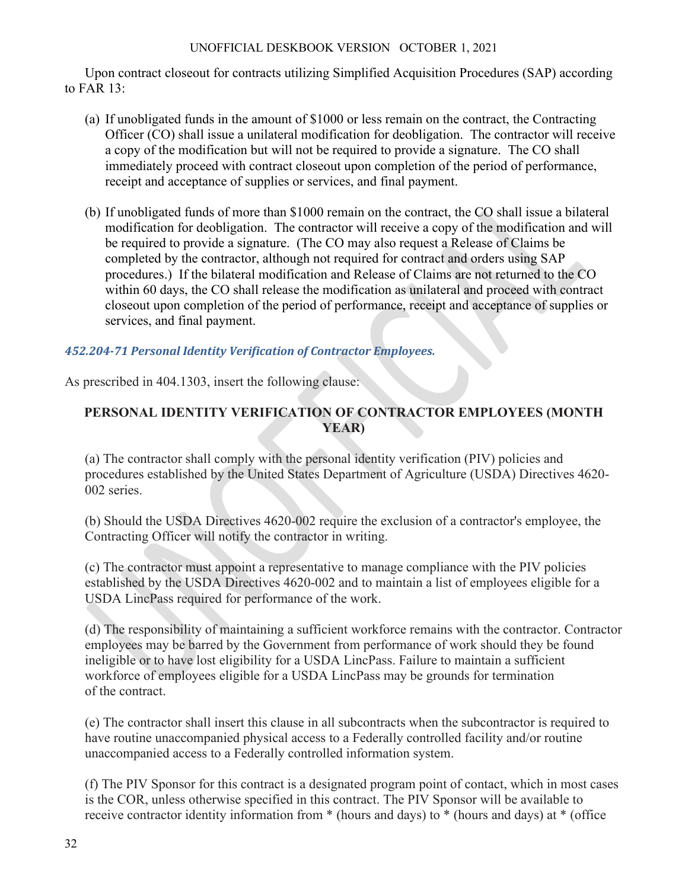Upon contract closeout for contracts utilizing Simplified Acquisition Procedures (SAP) according to FAR 13:

- (a) If unobligated funds in the amount of \$1000 or less remain on the contract, the Contracting Officer (CO) shall issue a unilateral modification for deobligation. The contractor will receive a copy of the modification but will not be required to provide a signature. The CO shall immediately proceed with contract closeout upon completion of the period of performance, receipt and acceptance of supplies or services, and final payment.
- (b) If unobligated funds of more than \$1000 remain on the contract, the CO shall issue a bilateral modification for deobligation. The contractor will receive a copy of the modification and will be required to provide a signature. (The CO may also request a Release of Claims be completed by the contractor, although not required for contract and orders using SAP procedures.) If the bilateral modification and Release of Claims are not returned to the CO within 60 days, the CO shall release the modification as unilateral and proceed with contract closeout upon completion of the period of performance, receipt and acceptance of supplies or services, and final payment.

## *452.204-71 Personal Identity Verification of Contractor Employees.*

As prescribed in 404.1303, insert the following clause:

## **PERSONAL IDENTITY VERIFICATION OF CONTRACTOR EMPLOYEES (MONTH YEAR)**

(a) The contractor shall comply with the personal identity verification (PIV) policies and procedures established by the United States Department of Agriculture (USDA) Directives 4620- 002 series.

(b) Should the USDA Directives 4620-002 require the exclusion of a contractor's employee, the Contracting Officer will notify the contractor in writing.

(c) The contractor must appoint a representative to manage compliance with the PIV policies established by the USDA Directives 4620-002 and to maintain a list of employees eligible for a USDA LincPass required for performance of the work.

(d) The responsibility of maintaining a sufficient workforce remains with the contractor. Contractor employees may be barred by the Government from performance of work should they be found ineligible or to have lost eligibility for a USDA LincPass. Failure to maintain a sufficient workforce of employees eligible for a USDA LincPass may be grounds for termination of the contract.

(e) The contractor shall insert this clause in all subcontracts when the subcontractor is required to have routine unaccompanied physical access to a Federally controlled facility and/or routine unaccompanied access to a Federally controlled information system.

(f) The PIV Sponsor for this contract is a designated program point of contact, which in most cases is the COR, unless otherwise specified in this contract. The PIV Sponsor will be available to receive contractor identity information from \* (hours and days) to \* (hours and days) at \* (office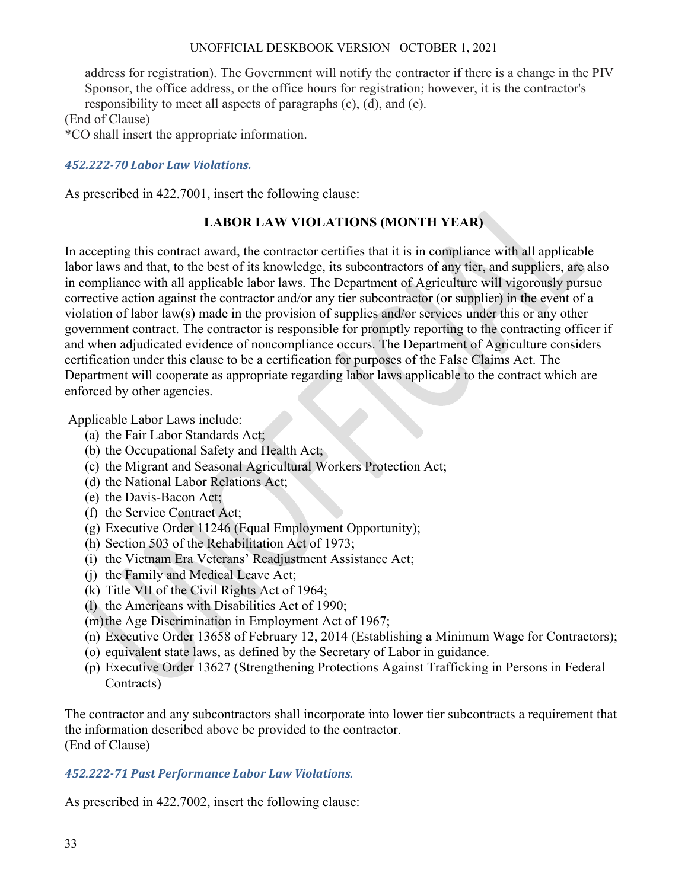address for registration). The Government will notify the contractor if there is a change in the PIV Sponsor, the office address, or the office hours for registration; however, it is the contractor's responsibility to meet all aspects of paragraphs (c), (d), and (e).

(End of Clause)

\*CO shall insert the appropriate information.

## *452.222-70 Labor Law Violations.*

As prescribed in 422.7001, insert the following clause:

## **LABOR LAW VIOLATIONS (MONTH YEAR)**

In accepting this contract award, the contractor certifies that it is in compliance with all applicable labor laws and that, to the best of its knowledge, its subcontractors of any tier, and suppliers, are also in compliance with all applicable labor laws. The Department of Agriculture will vigorously pursue corrective action against the contractor and/or any tier subcontractor (or supplier) in the event of a violation of labor law(s) made in the provision of supplies and/or services under this or any other government contract. The contractor is responsible for promptly reporting to the contracting officer if and when adjudicated evidence of noncompliance occurs. The Department of Agriculture considers certification under this clause to be a certification for purposes of the False Claims Act. The Department will cooperate as appropriate regarding labor laws applicable to the contract which are enforced by other agencies.

## Applicable Labor Laws include:

- (a) the Fair Labor Standards Act;
- (b) the Occupational Safety and Health Act;
- (c) the Migrant and Seasonal Agricultural Workers Protection Act;
- (d) the National Labor Relations Act;
- (e) the Davis-Bacon Act;
- (f) the Service Contract Act;
- (g) Executive Order 11246 (Equal Employment Opportunity);
- (h) Section 503 of the Rehabilitation Act of 1973;
- (i) the Vietnam Era Veterans' Readjustment Assistance Act;
- (j) the Family and Medical Leave Act;
- (k) Title VII of the Civil Rights Act of 1964;
- (l) the Americans with Disabilities Act of 1990;
- (m)the Age Discrimination in Employment Act of 1967;
- (n) Executive Order 13658 of February 12, 2014 (Establishing a Minimum Wage for Contractors);
- (o) equivalent state laws, as defined by the Secretary of Labor in guidance.
- (p) Executive Order 13627 (Strengthening Protections Against Trafficking in Persons in Federal Contracts)

The contractor and any subcontractors shall incorporate into lower tier subcontracts a requirement that the information described above be provided to the contractor. (End of Clause)

## *452.222-71 Past Performance Labor Law Violations.*

As prescribed in 422.7002, insert the following clause: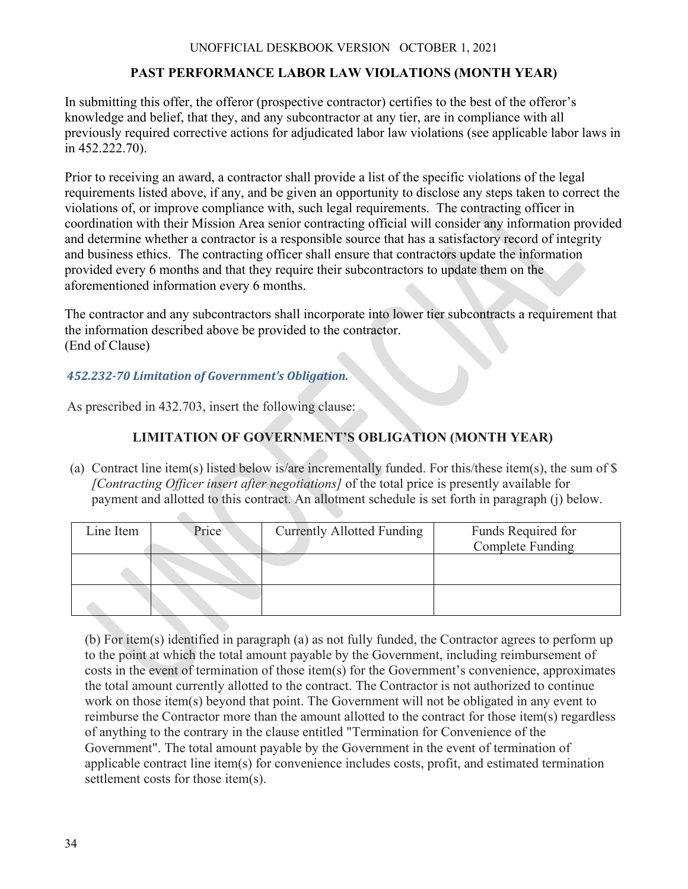## **PAST PERFORMANCE LABOR LAW VIOLATIONS (MONTH YEAR)**

In submitting this offer, the offeror (prospective contractor) certifies to the best of the offeror's knowledge and belief, that they, and any subcontractor at any tier, are in compliance with all previously required corrective actions for adjudicated labor law violations (see applicable labor laws in in 452.222.70).

Prior to receiving an award, a contractor shall provide a list of the specific violations of the legal requirements listed above, if any, and be given an opportunity to disclose any steps taken to correct the violations of, or improve compliance with, such legal requirements. The contracting officer in coordination with their Mission Area senior contracting official will consider any information provided and determine whether a contractor is a responsible source that has a satisfactory record of integrity and business ethics. The contracting officer shall ensure that contractors update the information provided every 6 months and that they require their subcontractors to update them on the aforementioned information every 6 months.

The contractor and any subcontractors shall incorporate into lower tier subcontracts a requirement that the information described above be provided to the contractor. (End of Clause)

## *452.232-70 Limitation of Government's Obligation.*

As prescribed in 432.703, insert the following clause:

## **LIMITATION OF GOVERNMENT'S OBLIGATION (MONTH YEAR)**

(a) Contract line item(s) listed below is/are incrementally funded. For this/these item(s), the sum of \$ *[Contracting Officer insert after negotiations]* of the total price is presently available for payment and allotted to this contract. An allotment schedule is set forth in paragraph (j) below.

| Line Item | Price | <b>Currently Allotted Funding</b> | Funds Required for |
|-----------|-------|-----------------------------------|--------------------|
|           |       |                                   | Complete Funding   |
|           |       |                                   |                    |
|           |       |                                   |                    |

(b) For item(s) identified in paragraph (a) as not fully funded, the Contractor agrees to perform up to the point at which the total amount payable by the Government, including reimbursement of costs in the event of termination of those item(s) for the Government's convenience, approximates the total amount currently allotted to the contract. The Contractor is not authorized to continue work on those item(s) beyond that point. The Government will not be obligated in any event to reimburse the Contractor more than the amount allotted to the contract for those item(s) regardless of anything to the contrary in the clause entitled "Termination for Convenience of the Government". The total amount payable by the Government in the event of termination of applicable contract line item(s) for convenience includes costs, profit, and estimated termination settlement costs for those item(s).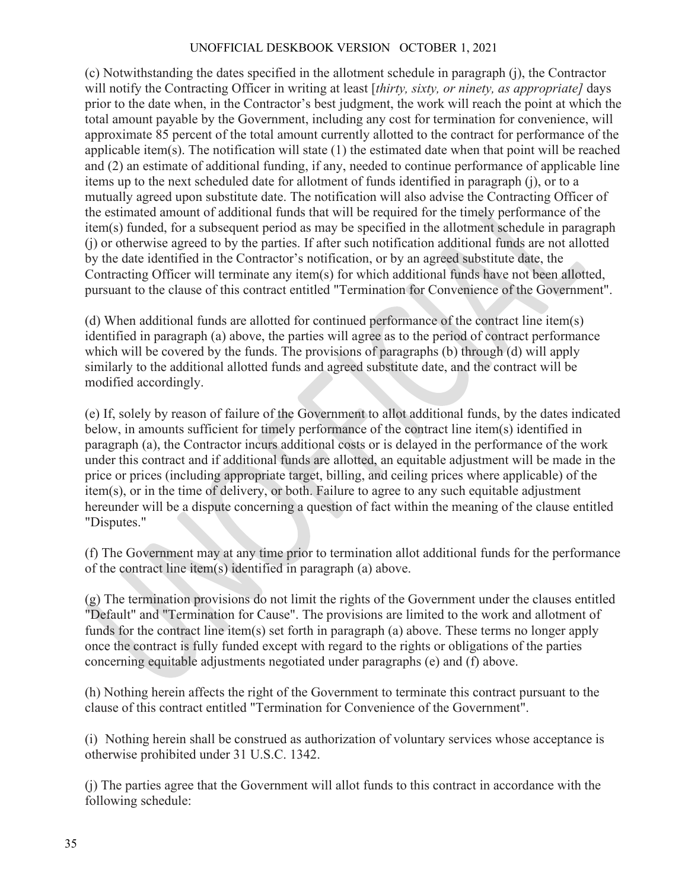(c) Notwithstanding the dates specified in the allotment schedule in paragraph (j), the Contractor will notify the Contracting Officer in writing at least [*thirty, sixty, or ninety, as appropriate]* days prior to the date when, in the Contractor's best judgment, the work will reach the point at which the total amount payable by the Government, including any cost for termination for convenience, will approximate 85 percent of the total amount currently allotted to the contract for performance of the applicable item(s). The notification will state  $(1)$  the estimated date when that point will be reached and (2) an estimate of additional funding, if any, needed to continue performance of applicable line items up to the next scheduled date for allotment of funds identified in paragraph (j), or to a mutually agreed upon substitute date. The notification will also advise the Contracting Officer of the estimated amount of additional funds that will be required for the timely performance of the item(s) funded, for a subsequent period as may be specified in the allotment schedule in paragraph (j) or otherwise agreed to by the parties. If after such notification additional funds are not allotted by the date identified in the Contractor's notification, or by an agreed substitute date, the Contracting Officer will terminate any item(s) for which additional funds have not been allotted, pursuant to the clause of this contract entitled "Termination for Convenience of the Government".

(d) When additional funds are allotted for continued performance of the contract line item(s) identified in paragraph (a) above, the parties will agree as to the period of contract performance which will be covered by the funds. The provisions of paragraphs (b) through (d) will apply similarly to the additional allotted funds and agreed substitute date, and the contract will be modified accordingly.

(e) If, solely by reason of failure of the Government to allot additional funds, by the dates indicated below, in amounts sufficient for timely performance of the contract line item(s) identified in paragraph (a), the Contractor incurs additional costs or is delayed in the performance of the work under this contract and if additional funds are allotted, an equitable adjustment will be made in the price or prices (including appropriate target, billing, and ceiling prices where applicable) of the item(s), or in the time of delivery, or both. Failure to agree to any such equitable adjustment hereunder will be a dispute concerning a question of fact within the meaning of the clause entitled "Disputes."

(f) The Government may at any time prior to termination allot additional funds for the performance of the contract line item(s) identified in paragraph (a) above.

(g) The termination provisions do not limit the rights of the Government under the clauses entitled "Default" and "Termination for Cause". The provisions are limited to the work and allotment of funds for the contract line item(s) set forth in paragraph (a) above. These terms no longer apply once the contract is fully funded except with regard to the rights or obligations of the parties concerning equitable adjustments negotiated under paragraphs (e) and (f) above.

(h) Nothing herein affects the right of the Government to terminate this contract pursuant to the clause of this contract entitled "Termination for Convenience of the Government".

(i) Nothing herein shall be construed as authorization of voluntary services whose acceptance is otherwise prohibited under 31 U.S.C. 1342.

(j) The parties agree that the Government will allot funds to this contract in accordance with the following schedule: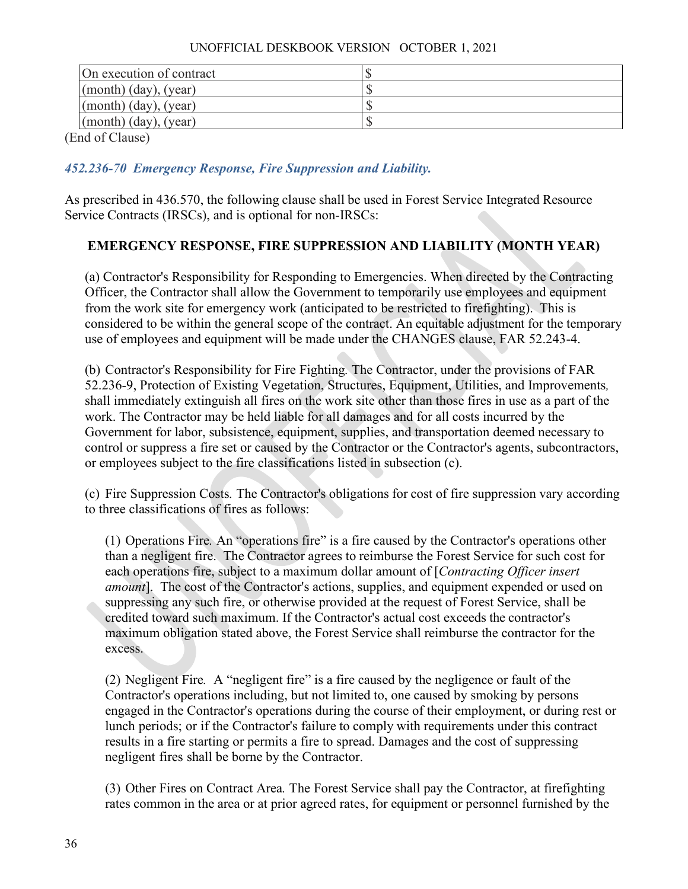| On execution of contract            |  |
|-------------------------------------|--|
| $\vert$ (month) (day), (year)       |  |
| $\vert$ (month) (day), (year)       |  |
| $\frac{1}{2}$ (month) (day), (year) |  |

(End of Clause)

## *452.236-70 Emergency Response, Fire Suppression and Liability.*

As prescribed in 436.570, the following clause shall be used in Forest Service Integrated Resource Service Contracts (IRSCs), and is optional for non-IRSCs:

## **EMERGENCY RESPONSE, FIRE SUPPRESSION AND LIABILITY (MONTH YEAR)**

(a) Contractor's Responsibility for Responding to Emergencies. When directed by the Contracting Officer, the Contractor shall allow the Government to temporarily use employees and equipment from the work site for emergency work (anticipated to be restricted to firefighting). This is considered to be within the general scope of the contract. An equitable adjustment for the temporary use of employees and equipment will be made under the CHANGES clause, FAR 52.243-4.

(b) Contractor's Responsibility for Fire Fighting*.* The Contractor, under the provisions of FAR 52.236-9, Protection of Existing Vegetation, Structures, Equipment, Utilities, and Improvements*,*  shall immediately extinguish all fires on the work site other than those fires in use as a part of the work. The Contractor may be held liable for all damages and for all costs incurred by the Government for labor, subsistence, equipment, supplies, and transportation deemed necessary to control or suppress a fire set or caused by the Contractor or the Contractor's agents, subcontractors, or employees subject to the fire classifications listed in subsection (c).

(c) Fire Suppression Costs*.* The Contractor's obligations for cost of fire suppression vary according to three classifications of fires as follows:

(1) Operations Fire*.* An "operations fire" is a fire caused by the Contractor's operations other than a negligent fire. The Contractor agrees to reimburse the Forest Service for such cost for each operations fire, subject to a maximum dollar amount of [*Contracting Officer insert amount*]. The cost of the Contractor's actions, supplies, and equipment expended or used on suppressing any such fire, or otherwise provided at the request of Forest Service, shall be credited toward such maximum. If the Contractor's actual cost exceeds the contractor's maximum obligation stated above, the Forest Service shall reimburse the contractor for the excess.

(2) Negligent Fire*.* A "negligent fire" is a fire caused by the negligence or fault of the Contractor's operations including, but not limited to, one caused by smoking by persons engaged in the Contractor's operations during the course of their employment, or during rest or lunch periods; or if the Contractor's failure to comply with requirements under this contract results in a fire starting or permits a fire to spread. Damages and the cost of suppressing negligent fires shall be borne by the Contractor.

(3) Other Fires on Contract Area*.* The Forest Service shall pay the Contractor, at firefighting rates common in the area or at prior agreed rates, for equipment or personnel furnished by the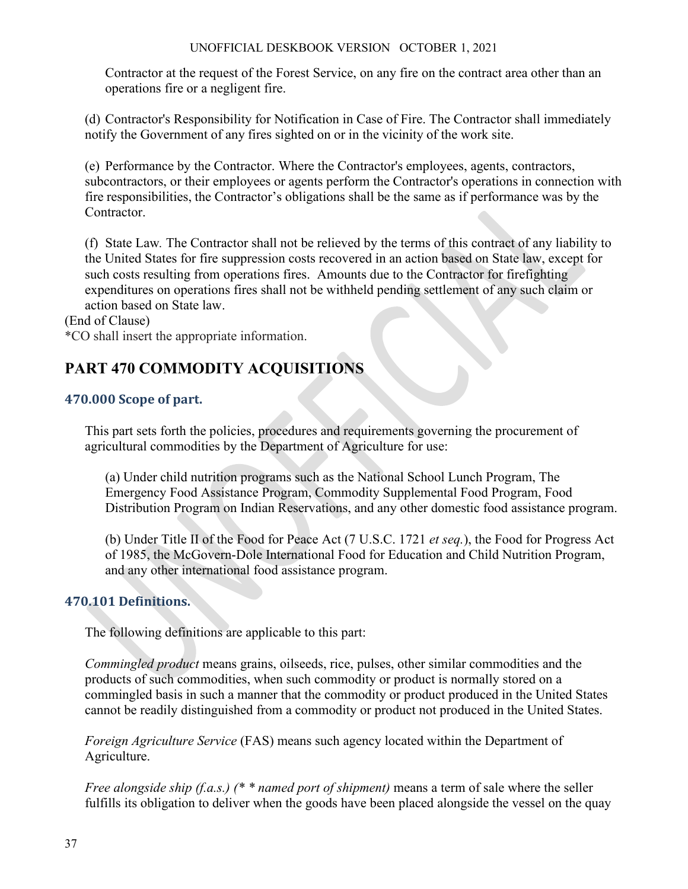Contractor at the request of the Forest Service, on any fire on the contract area other than an operations fire or a negligent fire.

(d) Contractor's Responsibility for Notification in Case of Fire. The Contractor shall immediately notify the Government of any fires sighted on or in the vicinity of the work site.

(e) Performance by the Contractor. Where the Contractor's employees, agents, contractors, subcontractors, or their employees or agents perform the Contractor's operations in connection with fire responsibilities, the Contractor's obligations shall be the same as if performance was by the Contractor.

(f) State Law*.* The Contractor shall not be relieved by the terms of this contract of any liability to the United States for fire suppression costs recovered in an action based on State law, except for such costs resulting from operations fires. Amounts due to the Contractor for firefighting expenditures on operations fires shall not be withheld pending settlement of any such claim or action based on State law.

### (End of Clause)

\*CO shall insert the appropriate information.

# <span id="page-36-0"></span>**PART 470 COMMODITY ACQUISITIONS**

## <span id="page-36-1"></span>**470.000 Scope of part.**

This part sets forth the policies, procedures and requirements governing the procurement of agricultural commodities by the Department of Agriculture for use:

(a) Under child nutrition programs such as the National School Lunch Program, The Emergency Food Assistance Program, Commodity Supplemental Food Program, Food Distribution Program on Indian Reservations, and any other domestic food assistance program.

(b) Under Title II of the Food for Peace Act (7 U.S.C. 1721 *et seq.*), the Food for Progress Act of 1985, the McGovern-Dole International Food for Education and Child Nutrition Program, and any other international food assistance program.

## <span id="page-36-2"></span>**470.101 Definitions.**

The following definitions are applicable to this part:

*Commingled product* means grains, oilseeds, rice, pulses, other similar commodities and the products of such commodities, when such commodity or product is normally stored on a commingled basis in such a manner that the commodity or product produced in the United States cannot be readily distinguished from a commodity or product not produced in the United States.

*Foreign Agriculture Service* (FAS) means such agency located within the Department of Agriculture.

*Free alongside ship (f.a.s.) (\* \* named port of shipment)* means a term of sale where the seller fulfills its obligation to deliver when the goods have been placed alongside the vessel on the quay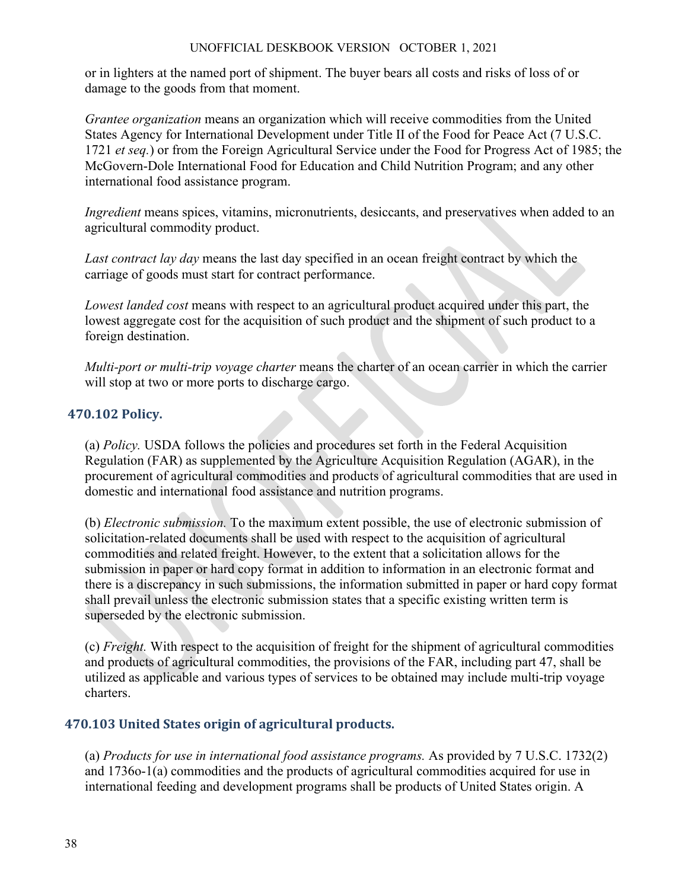or in lighters at the named port of shipment. The buyer bears all costs and risks of loss of or damage to the goods from that moment.

*Grantee organization* means an organization which will receive commodities from the United States Agency for International Development under Title II of the Food for Peace Act (7 U.S.C. 1721 *et seq.*) or from the Foreign Agricultural Service under the Food for Progress Act of 1985; the McGovern-Dole International Food for Education and Child Nutrition Program; and any other international food assistance program.

*Ingredient* means spices, vitamins, micronutrients, desiccants, and preservatives when added to an agricultural commodity product.

*Last contract lay day* means the last day specified in an ocean freight contract by which the carriage of goods must start for contract performance.

*Lowest landed cost* means with respect to an agricultural product acquired under this part, the lowest aggregate cost for the acquisition of such product and the shipment of such product to a foreign destination.

*Multi-port or multi-trip voyage charter* means the charter of an ocean carrier in which the carrier will stop at two or more ports to discharge cargo.

## <span id="page-37-0"></span>**470.102 Policy.**

(a) *Policy.* USDA follows the policies and procedures set forth in the Federal Acquisition Regulation (FAR) as supplemented by the Agriculture Acquisition Regulation (AGAR), in the procurement of agricultural commodities and products of agricultural commodities that are used in domestic and international food assistance and nutrition programs.

(b) *Electronic submission.* To the maximum extent possible, the use of electronic submission of solicitation-related documents shall be used with respect to the acquisition of agricultural commodities and related freight. However, to the extent that a solicitation allows for the submission in paper or hard copy format in addition to information in an electronic format and there is a discrepancy in such submissions, the information submitted in paper or hard copy format shall prevail unless the electronic submission states that a specific existing written term is superseded by the electronic submission.

(c) *Freight.* With respect to the acquisition of freight for the shipment of agricultural commodities and products of agricultural commodities, the provisions of the FAR, including part 47, shall be utilized as applicable and various types of services to be obtained may include multi-trip voyage charters.

## <span id="page-37-1"></span>**470.103 United States origin of agricultural products.**

(a) *Products for use in international food assistance programs.* As provided by 7 U.S.C. 1732(2) and 1736o-1(a) commodities and the products of agricultural commodities acquired for use in international feeding and development programs shall be products of United States origin. A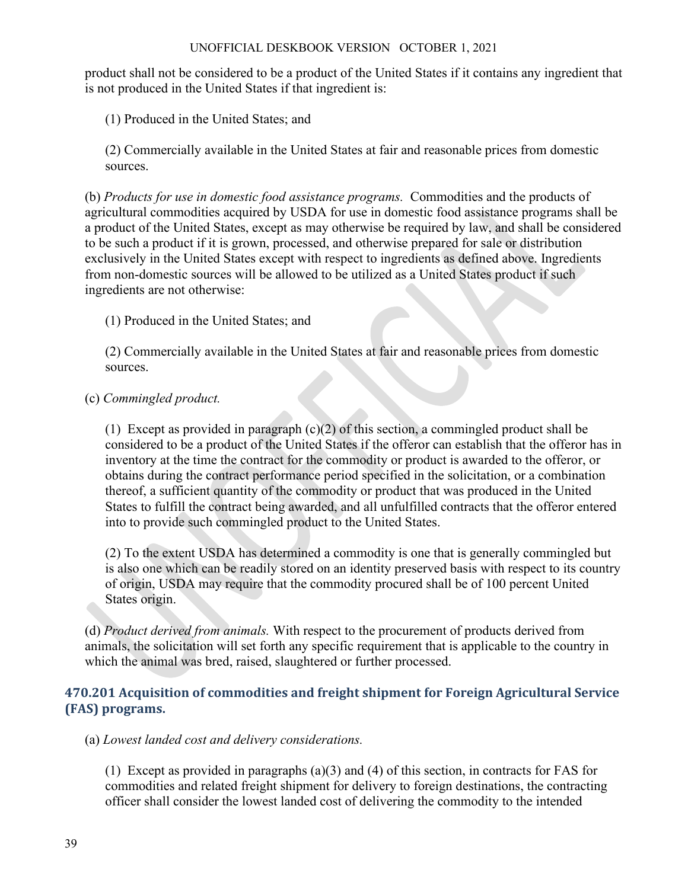product shall not be considered to be a product of the United States if it contains any ingredient that is not produced in the United States if that ingredient is:

(1) Produced in the United States; and

(2) Commercially available in the United States at fair and reasonable prices from domestic sources.

(b) *Products for use in domestic food assistance programs.* Commodities and the products of agricultural commodities acquired by USDA for use in domestic food assistance programs shall be a product of the United States, except as may otherwise be required by law, and shall be considered to be such a product if it is grown, processed, and otherwise prepared for sale or distribution exclusively in the United States except with respect to ingredients as defined above. Ingredients from non-domestic sources will be allowed to be utilized as a United States product if such ingredients are not otherwise:

(1) Produced in the United States; and

(2) Commercially available in the United States at fair and reasonable prices from domestic sources.

(c) *Commingled product.*

(1) Except as provided in paragraph (c)(2) of this section, a commingled product shall be considered to be a product of the United States if the offeror can establish that the offeror has in inventory at the time the contract for the commodity or product is awarded to the offeror, or obtains during the contract performance period specified in the solicitation, or a combination thereof, a sufficient quantity of the commodity or product that was produced in the United States to fulfill the contract being awarded, and all unfulfilled contracts that the offeror entered into to provide such commingled product to the United States.

(2) To the extent USDA has determined a commodity is one that is generally commingled but is also one which can be readily stored on an identity preserved basis with respect to its country of origin, USDA may require that the commodity procured shall be of 100 percent United States origin.

(d) *Product derived from animals.* With respect to the procurement of products derived from animals, the solicitation will set forth any specific requirement that is applicable to the country in which the animal was bred, raised, slaughtered or further processed.

## <span id="page-38-0"></span>**470.201 Acquisition of commodities and freight shipment for Foreign Agricultural Service (FAS) programs.**

(a) *Lowest landed cost and delivery considerations.*

(1) Except as provided in paragraphs (a)(3) and (4) of this section, in contracts for FAS for commodities and related freight shipment for delivery to foreign destinations, the contracting officer shall consider the lowest landed cost of delivering the commodity to the intended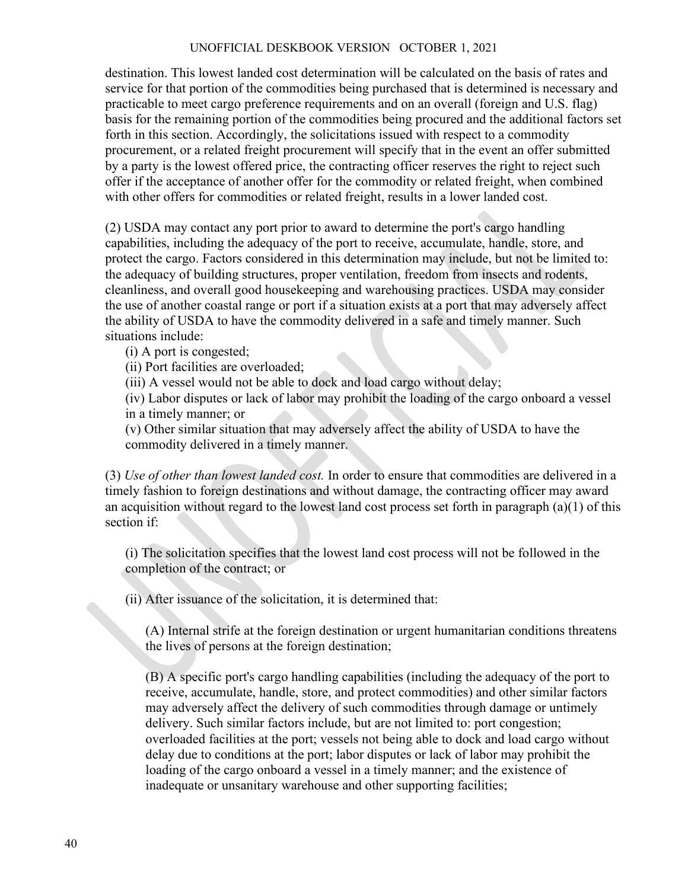destination. This lowest landed cost determination will be calculated on the basis of rates and service for that portion of the commodities being purchased that is determined is necessary and practicable to meet cargo preference requirements and on an overall (foreign and U.S. flag) basis for the remaining portion of the commodities being procured and the additional factors set forth in this section. Accordingly, the solicitations issued with respect to a commodity procurement, or a related freight procurement will specify that in the event an offer submitted by a party is the lowest offered price, the contracting officer reserves the right to reject such offer if the acceptance of another offer for the commodity or related freight, when combined with other offers for commodities or related freight, results in a lower landed cost.

(2) USDA may contact any port prior to award to determine the port's cargo handling capabilities, including the adequacy of the port to receive, accumulate, handle, store, and protect the cargo. Factors considered in this determination may include, but not be limited to: the adequacy of building structures, proper ventilation, freedom from insects and rodents, cleanliness, and overall good housekeeping and warehousing practices. USDA may consider the use of another coastal range or port if a situation exists at a port that may adversely affect the ability of USDA to have the commodity delivered in a safe and timely manner. Such situations include:

(i) A port is congested;

(ii) Port facilities are overloaded;

(iii) A vessel would not be able to dock and load cargo without delay;

(iv) Labor disputes or lack of labor may prohibit the loading of the cargo onboard a vessel in a timely manner; or

(v) Other similar situation that may adversely affect the ability of USDA to have the commodity delivered in a timely manner.

(3) *Use of other than lowest landed cost.* In order to ensure that commodities are delivered in a timely fashion to foreign destinations and without damage, the contracting officer may award an acquisition without regard to the lowest land cost process set forth in paragraph (a)(1) of this section if:

(i) The solicitation specifies that the lowest land cost process will not be followed in the completion of the contract; or

(ii) After issuance of the solicitation, it is determined that:

(A) Internal strife at the foreign destination or urgent humanitarian conditions threatens the lives of persons at the foreign destination;

(B) A specific port's cargo handling capabilities (including the adequacy of the port to receive, accumulate, handle, store, and protect commodities) and other similar factors may adversely affect the delivery of such commodities through damage or untimely delivery. Such similar factors include, but are not limited to: port congestion; overloaded facilities at the port; vessels not being able to dock and load cargo without delay due to conditions at the port; labor disputes or lack of labor may prohibit the loading of the cargo onboard a vessel in a timely manner; and the existence of inadequate or unsanitary warehouse and other supporting facilities;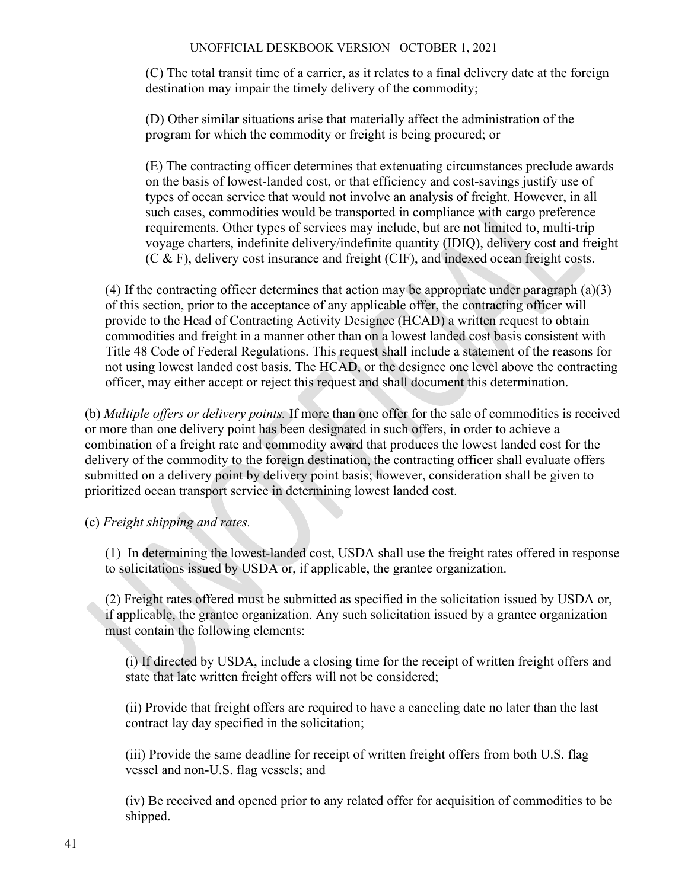(C) The total transit time of a carrier, as it relates to a final delivery date at the foreign destination may impair the timely delivery of the commodity;

(D) Other similar situations arise that materially affect the administration of the program for which the commodity or freight is being procured; or

(E) The contracting officer determines that extenuating circumstances preclude awards on the basis of lowest-landed cost, or that efficiency and cost-savings justify use of types of ocean service that would not involve an analysis of freight. However, in all such cases, commodities would be transported in compliance with cargo preference requirements. Other types of services may include, but are not limited to, multi-trip voyage charters, indefinite delivery/indefinite quantity (IDIQ), delivery cost and freight (C & F), delivery cost insurance and freight (CIF), and indexed ocean freight costs.

(4) If the contracting officer determines that action may be appropriate under paragraph (a)(3) of this section, prior to the acceptance of any applicable offer, the contracting officer will provide to the Head of Contracting Activity Designee (HCAD) a written request to obtain commodities and freight in a manner other than on a lowest landed cost basis consistent with Title 48 Code of Federal Regulations. This request shall include a statement of the reasons for not using lowest landed cost basis. The HCAD, or the designee one level above the contracting officer, may either accept or reject this request and shall document this determination.

(b) *Multiple offers or delivery points.* If more than one offer for the sale of commodities is received or more than one delivery point has been designated in such offers, in order to achieve a combination of a freight rate and commodity award that produces the lowest landed cost for the delivery of the commodity to the foreign destination, the contracting officer shall evaluate offers submitted on a delivery point by delivery point basis; however, consideration shall be given to prioritized ocean transport service in determining lowest landed cost.

(c) *Freight shipping and rates.*

(1) In determining the lowest-landed cost, USDA shall use the freight rates offered in response to solicitations issued by USDA or, if applicable, the grantee organization.

(2) Freight rates offered must be submitted as specified in the solicitation issued by USDA or, if applicable, the grantee organization. Any such solicitation issued by a grantee organization must contain the following elements:

(i) If directed by USDA, include a closing time for the receipt of written freight offers and state that late written freight offers will not be considered;

(ii) Provide that freight offers are required to have a canceling date no later than the last contract lay day specified in the solicitation;

(iii) Provide the same deadline for receipt of written freight offers from both U.S. flag vessel and non-U.S. flag vessels; and

(iv) Be received and opened prior to any related offer for acquisition of commodities to be shipped.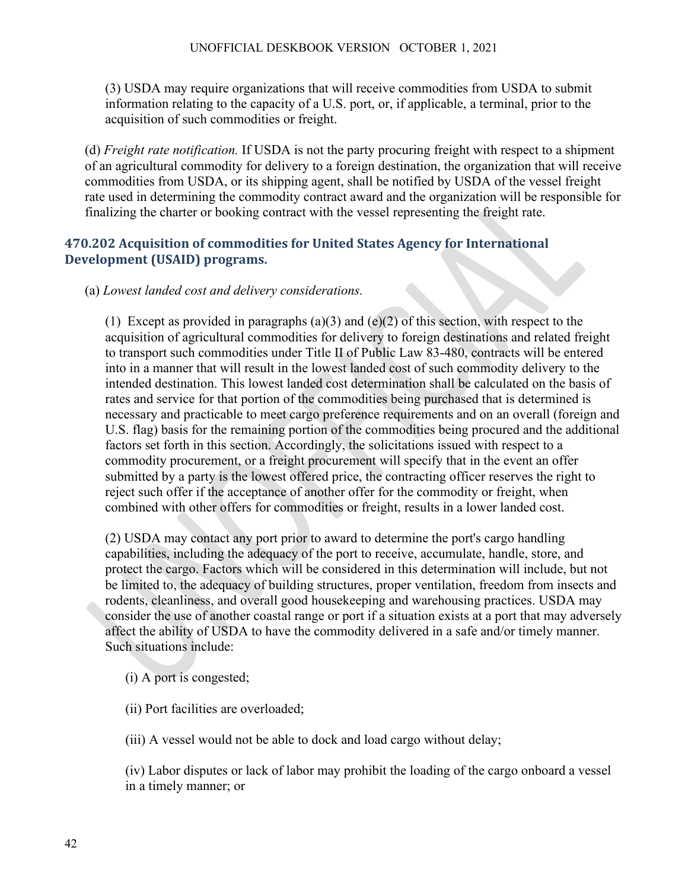(3) USDA may require organizations that will receive commodities from USDA to submit information relating to the capacity of a U.S. port, or, if applicable, a terminal, prior to the acquisition of such commodities or freight.

(d) *Freight rate notification.* If USDA is not the party procuring freight with respect to a shipment of an agricultural commodity for delivery to a foreign destination, the organization that will receive commodities from USDA, or its shipping agent, shall be notified by USDA of the vessel freight rate used in determining the commodity contract award and the organization will be responsible for finalizing the charter or booking contract with the vessel representing the freight rate.

## <span id="page-41-0"></span>**470.202 Acquisition of commodities for United States Agency for International Development (USAID) programs.**

(a) *Lowest landed cost and delivery considerations.*

(1) Except as provided in paragraphs (a)(3) and (e)(2) of this section, with respect to the acquisition of agricultural commodities for delivery to foreign destinations and related freight to transport such commodities under Title II of Public Law 83-480, contracts will be entered into in a manner that will result in the lowest landed cost of such commodity delivery to the intended destination. This lowest landed cost determination shall be calculated on the basis of rates and service for that portion of the commodities being purchased that is determined is necessary and practicable to meet cargo preference requirements and on an overall (foreign and U.S. flag) basis for the remaining portion of the commodities being procured and the additional factors set forth in this section. Accordingly, the solicitations issued with respect to a commodity procurement, or a freight procurement will specify that in the event an offer submitted by a party is the lowest offered price, the contracting officer reserves the right to reject such offer if the acceptance of another offer for the commodity or freight, when combined with other offers for commodities or freight, results in a lower landed cost.

(2) USDA may contact any port prior to award to determine the port's cargo handling capabilities, including the adequacy of the port to receive, accumulate, handle, store, and protect the cargo. Factors which will be considered in this determination will include, but not be limited to, the adequacy of building structures, proper ventilation, freedom from insects and rodents, cleanliness, and overall good housekeeping and warehousing practices. USDA may consider the use of another coastal range or port if a situation exists at a port that may adversely affect the ability of USDA to have the commodity delivered in a safe and/or timely manner. Such situations include:

- (i) A port is congested;
- (ii) Port facilities are overloaded;

(iii) A vessel would not be able to dock and load cargo without delay;

(iv) Labor disputes or lack of labor may prohibit the loading of the cargo onboard a vessel in a timely manner; or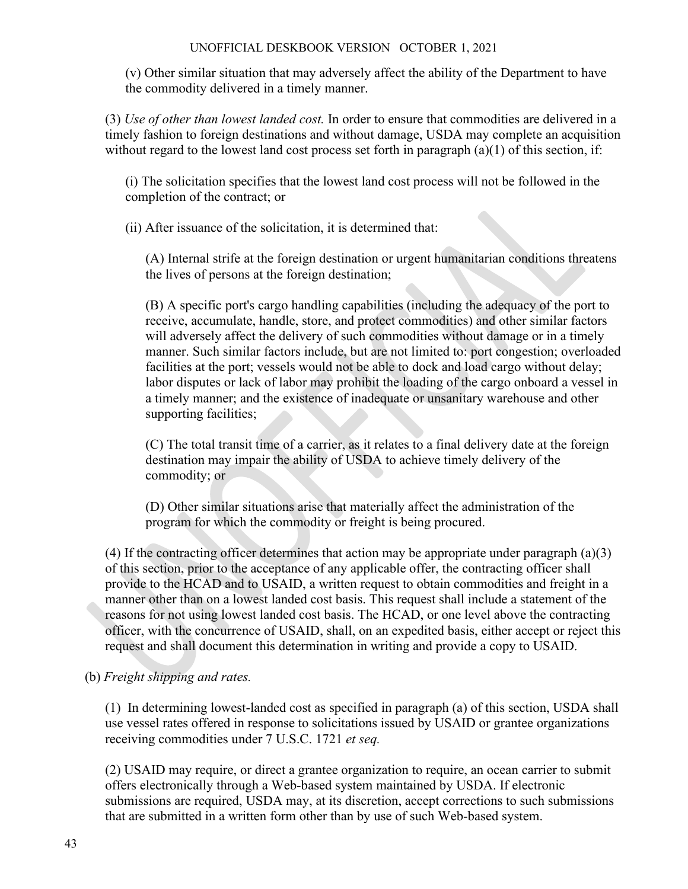(v) Other similar situation that may adversely affect the ability of the Department to have the commodity delivered in a timely manner.

(3) *Use of other than lowest landed cost.* In order to ensure that commodities are delivered in a timely fashion to foreign destinations and without damage, USDA may complete an acquisition without regard to the lowest land cost process set forth in paragraph  $(a)(1)$  of this section, if:

(i) The solicitation specifies that the lowest land cost process will not be followed in the completion of the contract; or

(ii) After issuance of the solicitation, it is determined that:

(A) Internal strife at the foreign destination or urgent humanitarian conditions threatens the lives of persons at the foreign destination;

(B) A specific port's cargo handling capabilities (including the adequacy of the port to receive, accumulate, handle, store, and protect commodities) and other similar factors will adversely affect the delivery of such commodities without damage or in a timely manner. Such similar factors include, but are not limited to: port congestion; overloaded facilities at the port; vessels would not be able to dock and load cargo without delay; labor disputes or lack of labor may prohibit the loading of the cargo onboard a vessel in a timely manner; and the existence of inadequate or unsanitary warehouse and other supporting facilities;

(C) The total transit time of a carrier, as it relates to a final delivery date at the foreign destination may impair the ability of USDA to achieve timely delivery of the commodity; or

(D) Other similar situations arise that materially affect the administration of the program for which the commodity or freight is being procured.

(4) If the contracting officer determines that action may be appropriate under paragraph (a)(3) of this section, prior to the acceptance of any applicable offer, the contracting officer shall provide to the HCAD and to USAID, a written request to obtain commodities and freight in a manner other than on a lowest landed cost basis. This request shall include a statement of the reasons for not using lowest landed cost basis. The HCAD, or one level above the contracting officer, with the concurrence of USAID, shall, on an expedited basis, either accept or reject this request and shall document this determination in writing and provide a copy to USAID.

(b) *Freight shipping and rates.*

(1) In determining lowest-landed cost as specified in paragraph (a) of this section, USDA shall use vessel rates offered in response to solicitations issued by USAID or grantee organizations receiving commodities under 7 U.S.C. 1721 *et seq.*

(2) USAID may require, or direct a grantee organization to require, an ocean carrier to submit offers electronically through a Web-based system maintained by USDA. If electronic submissions are required, USDA may, at its discretion, accept corrections to such submissions that are submitted in a written form other than by use of such Web-based system.